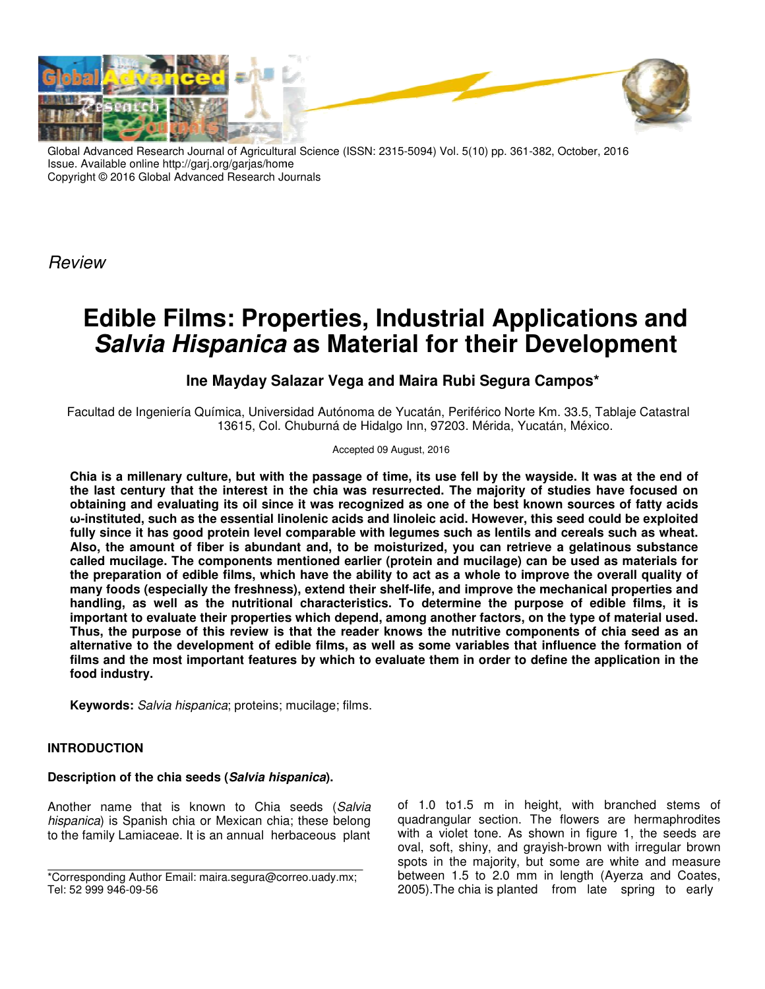

Global Advanced Research Journal of Agricultural Science (ISSN: 2315-5094) Vol. 5(10) pp. 361-382, October, 2016 Issue. Available online http://garj.org/garjas/home Copyright © 2016 Global Advanced Research Journals

Review

# **Edible Films: Proper Edible Films: Properties, Industrial Applications and Edible Films: Properties, Industrial Applications and<br>***Salvia Hispanica* **as Material for their Development**

# **Ine Mayday Salazar Vega and Maira Rubi Segura Campos\***

Facultad de Ingeniería Química, Universidad Autónoma de Yucatán, Periférico Norte Km. 33.5, Tablaje Catastral mica, Universidad Autónoma de Yucatán, Periférico Norte Km. 33.5, Tał<br>13615, Col. Chuburná de Hidalgo Inn, 97203. Mérida, Yucatán, México.

## Accepted 09 August, 2016

**Chia is a millenary culture, but with the passage of time, its use fell by the wayside. It was at the end of**  Chia is a millenary culture, but with the passage of time, its use fell by the wayside. It was at the end of<br>the last century that the interest in the chia was resurrected. The majority of studies have focused on obtaining and evaluating its oil since it was recognized as one of the best known sources of fatty acids **ω-instituted, such as the essential linolenic acids and linoleic acid. However, this seed could be exploited**  fully since it has good protein level comparable with legumes such as lentils and cereals such as wheat. **Also, the amount of fiber is abundant and, to be moisturized, you can retrieve a gelatinous substance called mucilage. The components mentioned earlier (protein and mucilage) can be used as materials for the preparation of edible films, which have the ability to act as a whole to improve the overall quality of many foods (especially the freshness), extend their shelf** many foods (especially the freshness), extend their shelf-life, and improve the mechanical properties and<br>handling, as well as the nutritional characteristics. To determine the purpose of edible films, it is **important to evaluate their properties which depend, among another factors, on the type of material used. Thus, the purpose of this review is that the reader knows the nutritive components of chia seed as an alternative to the development of edible films, as well as some variables that influence the formation of films and the most important features by which to evaluate them in order to define the application in the food industry.** instituted, such as the essential linolenic acids and linoleic acid. However, this seed could be exploited ly since it has good protein level comparable with legumes such as lentils and cereals such as wheat.<br>so, the amoun te their properties which depend, among another factors, on the type of material<br>of this review is that the reader knows the nutritive components of chia seed<br>evelopment of edible films, as well as some variables that infl **requist century that the interest in the chia was resurrected. The majority of studies have focused on taining and evaluating its oil since it was recognized as one of the best known sources of fatty acids instituted, suc** 

**Keywords:** Salvia hispanica; proteins; mucilage; films.

## **INTRODUCTION**

## **Description of the chia seeds (Salvia hispanica ).**

Another name that is known to Chia seeds (Salvia hispanica) is Spanish chia or Mexican chia; these belong hispanica) is Spanish chia or Mexican chia; these belong<br>to the family Lamiaceae. It is an annual herbaceous plant of 1.0 to1.5 m in height, with branched stems of quadrangular section. The flowers are hermaphrodites with a violet tone. As shown in figure 1, the seeds are oval, soft, shiny, and grayish-brown with irregular brown spots in the majority, but some are white and measure between 1.5 to 2.0 mm in length (Ayerza and Coates, 2005). The chia is planted from late spring to early 1.0 to1.5 m in height, with branched stems of drangular section. The flowers are hermaphrodites a violet tone. As shown in figure 1, the seeds are yish-brown with irregular brown<br>some are white and measure<br>in length (Ayerza and Coates<br>from late spring to early

<sup>\*</sup>Corresponding Author Email: maira.segura@correo.uady.mx maira.segura@correo.uady.mx; Tel: 52 999 946-09-56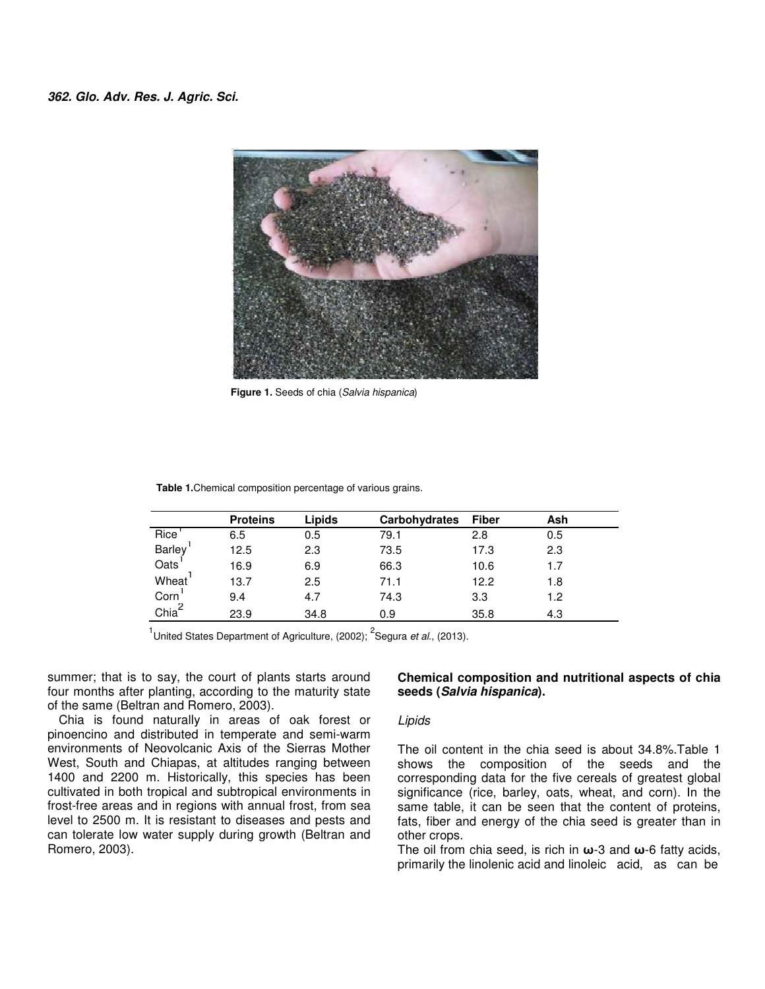

 **Figure 1.** Seeds of chia (Salvia hispanica)

|  |  | <b>Table 1.</b> Chemical composition percentage of various grains. |  |  |  |
|--|--|--------------------------------------------------------------------|--|--|--|
|--|--|--------------------------------------------------------------------|--|--|--|

|                   | <b>Proteins</b> | <b>Lipids</b> | <b>Carbohydrates</b> | <b>Fiber</b> | Ash |
|-------------------|-----------------|---------------|----------------------|--------------|-----|
| Rice <sup>'</sup> | 6.5             | 0.5           | 79.1                 | 2.8          | 0.5 |
| Barley<br>Oats    | 12.5            | 2.3           | 73.5                 | 17.3         | 2.3 |
|                   | 16.9            | 6.9           | 66.3                 | 10.6         | 1.7 |
| Wheat             | 13.7            | 2.5           | 71.1                 | 12.2         | 1.8 |
| Corn              | 9.4             | 4.7           | 74.3                 | 3.3          | 1.2 |
| Chia <sup>2</sup> | 23.9            | 34.8          | 0.9                  | 35.8         | 4.3 |

<sup>1</sup>United States Department of Agriculture, (2002); <sup>2</sup>Segura et al., (2013).

summer; that is to say, the court of plants starts around four months after planting, according to the maturity state of the same (Beltran and Romero, 2003).

Chia is found naturally in areas of oak forest or pinoencino and distributed in temperate and semi-warm environments of Neovolcanic Axis of the Sierras Mother West, South and Chiapas, at altitudes ranging between 1400 and 2200 m. Historically, this species has been cultivated in both tropical and subtropical environments in frost-free areas and in regions with annual frost, from sea level to 2500 m. It is resistant to diseases and pests and can tolerate low water supply during growth (Beltran and Romero, 2003).

## **Chemical composition and nutritional aspects of chia seeds (Salvia hispanica).**

## Lipids

The oil content in the chia seed is about 34.8%.Table 1 shows the composition of the seeds and the corresponding data for the five cereals of greatest global significance (rice, barley, oats, wheat, and corn). In the same table, it can be seen that the content of proteins, fats, fiber and energy of the chia seed is greater than in other crops.

The oil from chia seed, is rich in **ω**-3 and **ω**-6 fatty acids, primarily the linolenic acid and linoleic acid, as can be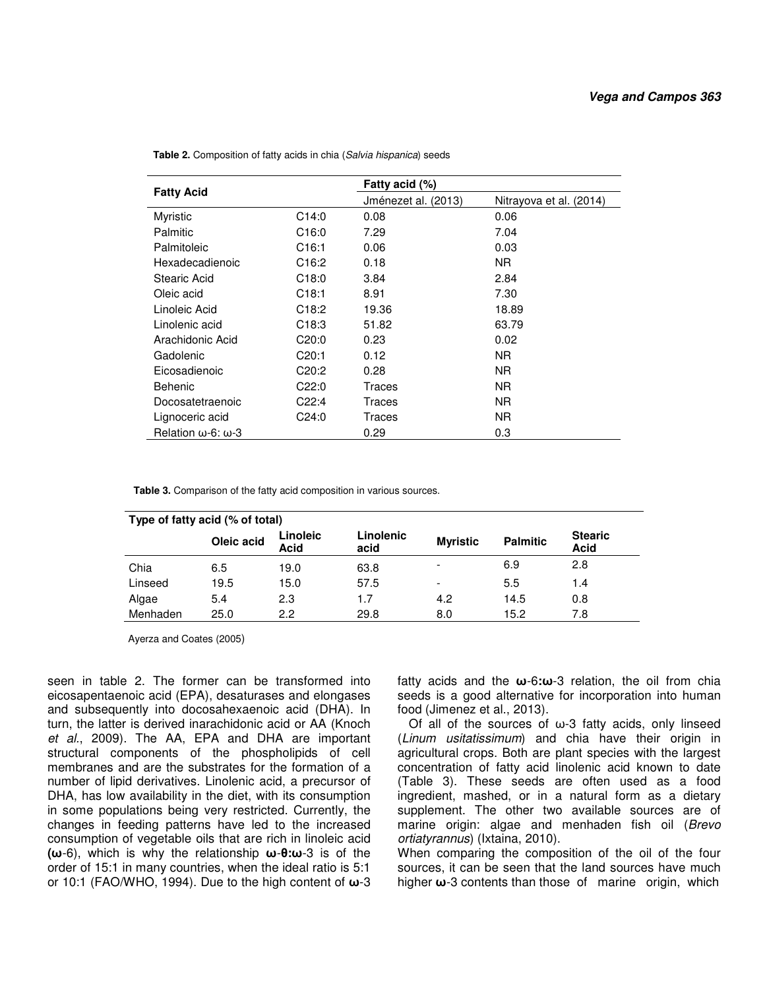|                                   |                    | Fatty acid (%)      |                         |  |  |
|-----------------------------------|--------------------|---------------------|-------------------------|--|--|
| <b>Fatty Acid</b>                 |                    | Jménezet al. (2013) | Nitrayova et al. (2014) |  |  |
| Myristic                          | C14:0              | 0.08                | 0.06                    |  |  |
| Palmitic                          | C <sub>16:0</sub>  | 7.29                | 7.04                    |  |  |
| Palmitoleic                       | C <sub>16:1</sub>  | 0.06                | 0.03                    |  |  |
| Hexadecadienoic                   | C16:2              | 0.18                | NR.                     |  |  |
| Stearic Acid                      | C18:0              | 3.84                | 2.84                    |  |  |
| Oleic acid                        | C18:1              | 8.91                | 7.30                    |  |  |
| Linoleic Acid                     | C <sub>18:2</sub>  | 19.36               | 18.89                   |  |  |
| Linolenic acid                    | C <sub>18:3</sub>  | 51.82               | 63.79                   |  |  |
| Arachidonic Acid                  | C20:0              | 0.23                | 0.02                    |  |  |
| Gadolenic                         | C20:1              | 0.12                | NR.                     |  |  |
| Eicosadienoic                     | C <sub>20</sub> :2 | 0.28                | NR.                     |  |  |
| <b>Behenic</b>                    | C22:0              | Traces              | NR.                     |  |  |
| Docosatetraenoic                  | C22:4              | Traces              | NR.                     |  |  |
| Lignoceric acid                   | C24:0              | Traces              | NR.                     |  |  |
| Relation $\omega$ -6: $\omega$ -3 |                    | 0.29                | 0.3                     |  |  |

 **Table 2.** Composition of fatty acids in chia (Salvia hispanica) seeds

 **Table 3.** Comparison of the fatty acid composition in various sources.

| Type of fatty acid (% of total) |            |                         |                   |                 |                 |                               |
|---------------------------------|------------|-------------------------|-------------------|-----------------|-----------------|-------------------------------|
|                                 | Oleic acid | Linoleic<br><b>Acid</b> | Linolenic<br>acid | <b>Myristic</b> | <b>Palmitic</b> | <b>Stearic</b><br><b>Acid</b> |
| Chia                            | 6.5        | 19.0                    | 63.8              |                 | 6.9             | 2.8                           |
| Linseed                         | 19.5       | 15.0                    | 57.5              |                 | 5.5             | 1.4                           |
| Algae                           | 5.4        | 2.3                     | 1.7               | 4.2             | 14.5            | 0.8                           |
| Menhaden                        | 25.0       | 2.2                     | 29.8              | 8.0             | 15.2            | 7.8                           |

Ayerza and Coates (2005)

seen in table 2. The former can be transformed into eicosapentaenoic acid (EPA), desaturases and elongases and subsequently into docosahexaenoic acid (DHA). In turn, the latter is derived inarachidonic acid or AA (Knoch et al., 2009). The AA, EPA and DHA are important structural components of the phospholipids of cell membranes and are the substrates for the formation of a number of lipid derivatives. Linolenic acid, a precursor of DHA, has low availability in the diet, with its consumption in some populations being very restricted. Currently, the changes in feeding patterns have led to the increased consumption of vegetable oils that are rich in linoleic acid **(ω**-6), which is why the relationship **ω**-**θ:ω**-3 is of the order of 15:1 in many countries, when the ideal ratio is 5:1 or 10:1 (FAO/WHO, 1994). Due to the high content of **ω**-3

fatty acids and the **ω**-6**:ω**-3 relation, the oil from chia seeds is a good alternative for incorporation into human food (Jimenez et al., 2013).

Of all of the sources of  $\omega$ -3 fatty acids, only linseed (Linum usitatissimum) and chia have their origin in agricultural crops. Both are plant species with the largest concentration of fatty acid linolenic acid known to date (Table 3). These seeds are often used as a food ingredient, mashed, or in a natural form as a dietary supplement. The other two available sources are of marine origin: algae and menhaden fish oil (Brevo ortiatyrannus) (Ixtaina, 2010).

When comparing the composition of the oil of the four sources, it can be seen that the land sources have much higher **ω**-3 contents than those of marine origin, which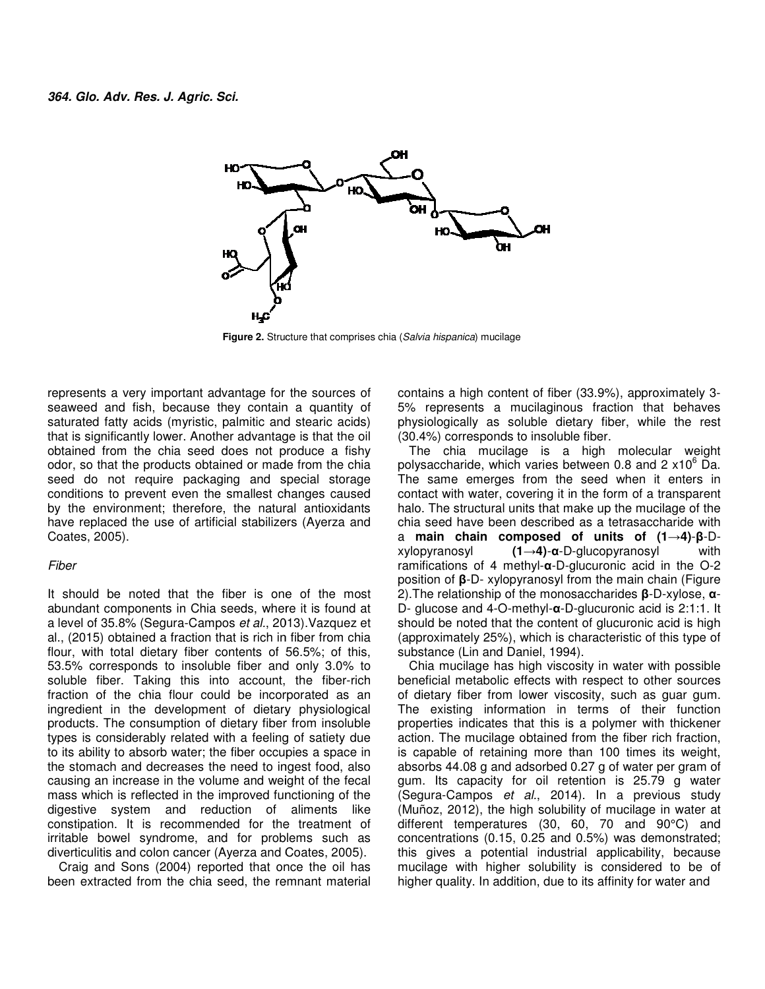

**Figure 2.** Structure that comprises chia (Salvia hispanica) mucilage

represents a very important advantage for the sources of seaweed and fish, because they contain a quantity of saturated fatty acids (myristic, palmitic and stearic acids) that is significantly lower. Another advantage is that the oil obtained from the chia seed does not produce a odor, so that the products obtained or made from the chia seed do not require packaging and special storage conditions to prevent even the smallest changes caused by the environment; therefore, the natural antioxidants have replaced the use of artificial stabilizers (Ayerza and Coates, 2005). represents a very important advantage for the sources of seaweed and fish, because they contain a quantity of saturated fatty acids (myristic, palmitic and stearic acids) that is significantly lower. Another advantage is t

#### Fiber

It should be noted that the fiber is one of the most abundant components in Chia seeds, where it is found at a level of 35.8% (Segura-Campos et al., 2013).Vazquez et al., (2015) obtained a fraction that is rich in fiber from chia flour, with total dietary fiber contents of 56.5%; of this, 53.5% corresponds to insoluble fiber and only 3.0% to soluble fiber. Taking this into account, the fiber-rich fraction of the chia flour could be incorporated as an ingredient in the development of dietary physiological products. The consumption of dietary fiber from insoluble types is considerably related with a feeling of satiety due to its ability to absorb water; the fiber occupies a space in the stomach and decreases the need to ingest food, also causing an increase in the volume and weight of the fecal mass which is reflected in the improved functioning of the digestive system and reduction of aliments like constipation. It is recommended for the treatment of irritable bowel syndrome, and for problems such as diverticulitis and colon cancer (Ayerza and Coates, 2005). odor, so that the products obtained or made from the chia seed do not require packaging and special storage conditions to prevent even the smallest changes caused by the environment; therefore, the natural antioxidants hav represents a very important advantage for the sources of contains a high content of the rigo 35%, and the sealing of the sources of the sealing contains and the seal does not produce a fishy of the sealing and the sealing

Craig and Sons (2004) reported that once the oil has been extracted from the chia seed, the remnant material 5% represents a mucilaginous fraction that behaves physiologically as soluble dietary fiber, while the rest (30.4%) corresponds to insoluble fiber. contains a high content of fiber (33.9%), approximately 3-5% represents a mucilaginous fraction that behaves<br>physiologically as soluble dietary fiber, while the rest<br>(30.4%) corresponds to insoluble fiber.

The chia mucilage is a high molecular weight The chia mucilage is a high molecular weight polysaccharide, which varies between 0.8 and 2  $\times10^6$  Da. The same emerges from the seed when it enters in The same emerges from the seed when it enters in contact with water, covering it in the form of a transparent halo. The structural units that make up the mucilage of the chia seed have been described as a tetrasaccharide with a **main chain composed o main of units of (1→4)**-**β**-D $xy$ lopyranosyl ramifications of 4 methyl-α-D-glucuronic acid in the O-2 position of **β**-D- xylopyranosyl from the main chain (Figure 2).The relationship of the monosaccharides the **β**-D-xylose, **α**-D- glucose and 4-O-methyl-**α**-D D-glucuronic acid is 2:1:1. It should be noted that the content of glucuronic acid is high (approximately 25%), which is characteristic of this type of substance (Lin and Daniel, 1994).  $(1\rightarrow4)$ - $\alpha$ -D-glucopyranosyl with

Chia mucilage has high viscosity in water with possible beneficial metabolic effects with respect to other sources of dietary fiber from lower viscosity, such as guar gum. The existing information in terms of their function properties indicates that this is a polymer with thickener action. The mucilage obtained from the fiber rich fraction. is capable of retaining more than 100 times its weight, absorbs 44.08 g and adsorbed 0.27 g of water per gram of gum. Its capacity for oil retention is 25.79 g water (Segura-Campos et al., 2014). In a previous study (Muñoz, 2012), the high solubility of mucilage in water at different temperatures (30, 60, 70 and 90°C) and concentrations (0.15, 0.25 and 0.5%) was demonstrated; this gives a potential industrial applicability, because mucilage with higher solubility is considered to be of higher quality. In addition, due to its affinity for water and (approximately 25%), which is characteristic of this type of substance (Lin and Daniel, 1994).<br>Chia mucilage has high viscosity in water with possible beneficial metabolic effects with respect to other sources of dietary f is capable of retaining more than 100 times its weight, absorbs 44.08 g and adsorbed 0.27 g of water per gram of gum. Its capacity for oil retention is 25.79 g water (Segura-Campos *et al.*, 2014). In a previous study (Mu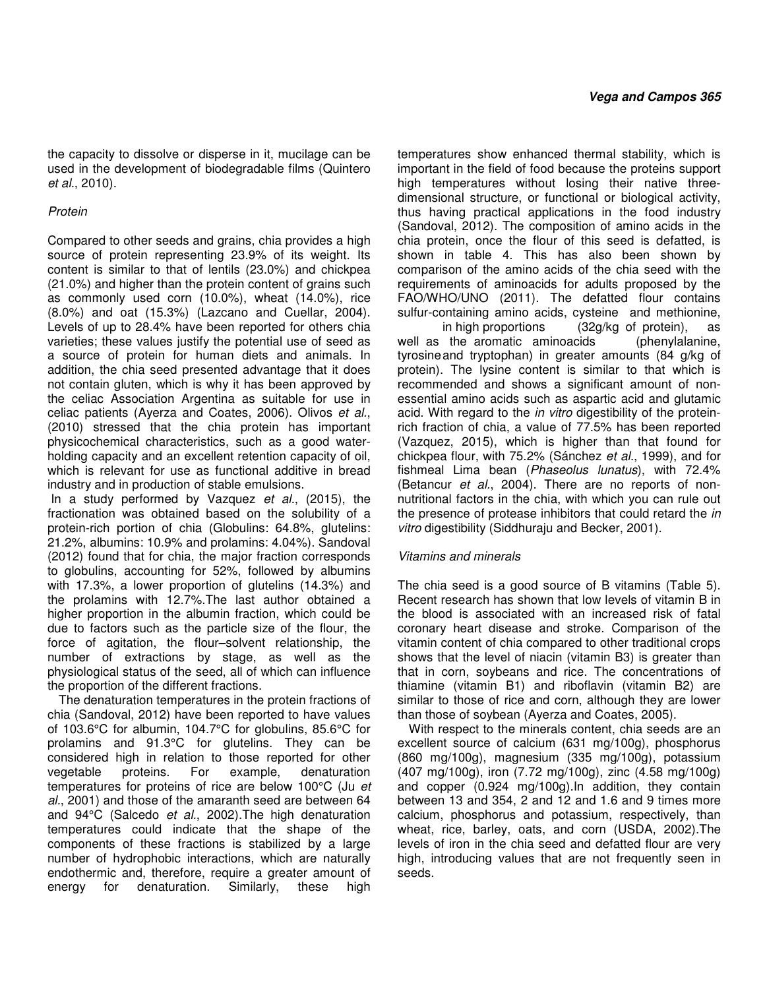the capacity to dissolve or disperse in it, mucilage can be used in the development of biodegradable films (Quintero et al., 2010).

## Protein

Compared to other seeds and grains, chia provides a high source of protein representing 23.9% of its weight. Its content is similar to that of lentils (23.0%) and chickpea (21.0%) and higher than the protein content of grains such as commonly used corn (10.0%), wheat (14.0%), rice (8.0%) and oat (15.3%) (Lazcano and Cuellar, 2004). Levels of up to 28.4% have been reported for others chia varieties; these values justify the potential use of seed as a source of protein for human diets and animals. In addition, the chia seed presented advantage that it does not contain gluten, which is why it has been approved by the celiac Association Argentina as suitable for use in celiac patients (Ayerza and Coates, 2006). Olivos et al., (2010) stressed that the chia protein has important physicochemical characteristics, such as a good waterholding capacity and an excellent retention capacity of oil, which is relevant for use as functional additive in bread industry and in production of stable emulsions.

 In a study performed by Vazquez et al., (2015), the fractionation was obtained based on the solubility of a protein-rich portion of chia (Globulins: 64.8%, glutelins: 21.2%, albumins: 10.9% and prolamins: 4.04%). Sandoval (2012) found that for chia, the major fraction corresponds to globulins, accounting for 52%, followed by albumins with 17.3%, a lower proportion of glutelins (14.3%) and the prolamins with 12.7%.The last author obtained a higher proportion in the albumin fraction, which could be due to factors such as the particle size of the flour, the force of agitation, the flour**–**solvent relationship, the number of extractions by stage, as well as the physiological status of the seed, all of which can influence the proportion of the different fractions.

The denaturation temperatures in the protein fractions of chia (Sandoval, 2012) have been reported to have values of 103.6°C for albumin, 104.7°C for globulins, 85.6°C for prolamins and 91.3°C for glutelins. They can be considered high in relation to those reported for other vegetable proteins. For example, denaturation temperatures for proteins of rice are below 100°C (Ju et al., 2001) and those of the amaranth seed are between 64 and 94°C (Salcedo et al., 2002).The high denaturation temperatures could indicate that the shape of the components of these fractions is stabilized by a large number of hydrophobic interactions, which are naturally endothermic and, therefore, require a greater amount of energy for denaturation. Similarly, these high temperatures show enhanced thermal stability, which is important in the field of food because the proteins support high temperatures without losing their native threedimensional structure, or functional or biological activity, thus having practical applications in the food industry (Sandoval, 2012). The composition of amino acids in the chia protein, once the flour of this seed is defatted, is shown in table 4. This has also been shown by comparison of the amino acids of the chia seed with the requirements of aminoacids for adults proposed by the FAO/WHO/UNO (2011). The defatted flour contains sulfur-containing amino acids, cysteine and methionine,

 in high proportions (32g/kg of protein), as well as the aromatic aminoacids (phenylalanine, tyrosine and tryptophan) in greater amounts (84 g/kg of protein). The lysine content is similar to that which is recommended and shows a significant amount of nonessential amino acids such as aspartic acid and glutamic acid. With regard to the in vitro digestibility of the proteinrich fraction of chia, a value of 77.5% has been reported (Vazquez, 2015), which is higher than that found for chickpea flour, with 75.2% (Sánchez et al., 1999), and for fishmeal Lima bean (Phaseolus lunatus), with 72.4% (Betancur et al., 2004). There are no reports of nonnutritional factors in the chia, with which you can rule out the presence of protease inhibitors that could retard the in vitro digestibility (Siddhuraju and Becker, 2001).

## Vitamins and minerals

The chia seed is a good source of B vitamins (Table 5). Recent research has shown that low levels of vitamin B in the blood is associated with an increased risk of fatal coronary heart disease and stroke. Comparison of the vitamin content of chia compared to other traditional crops shows that the level of niacin (vitamin B3) is greater than that in corn, soybeans and rice. The concentrations of thiamine (vitamin B1) and riboflavin (vitamin B2) are similar to those of rice and corn, although they are lower than those of soybean (Ayerza and Coates, 2005).

With respect to the minerals content, chia seeds are an excellent source of calcium (631 mg/100g), phosphorus (860 mg/100g), magnesium (335 mg/100g), potassium (407 mg/100g), iron (7.72 mg/100g), zinc (4.58 mg/100g) and copper (0.924 mg/100g).In addition, they contain between 13 and 354, 2 and 12 and 1.6 and 9 times more calcium, phosphorus and potassium, respectively, than wheat, rice, barley, oats, and corn (USDA, 2002).The levels of iron in the chia seed and defatted flour are very high, introducing values that are not frequently seen in seeds.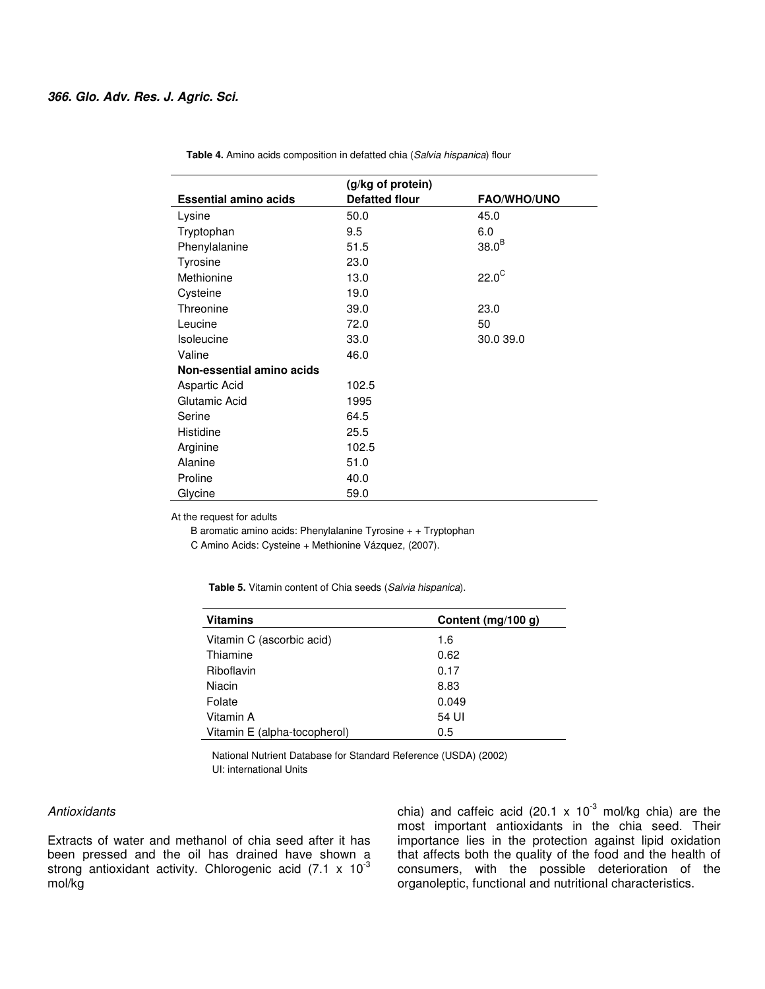|                              | (g/kg of protein)     |                    |
|------------------------------|-----------------------|--------------------|
| <b>Essential amino acids</b> | <b>Defatted flour</b> | <b>FAO/WHO/UNO</b> |
| Lysine                       | 50.0                  | 45.0               |
| Tryptophan                   | 9.5                   | 6.0                |
| Phenylalanine                | 51.5                  | 38.0 <sup>B</sup>  |
| Tyrosine                     | 23.0                  |                    |
| Methionine                   | 13.0                  | $22.0^\circ$       |
| Cysteine                     | 19.0                  |                    |
| Threonine                    | 39.0                  | 23.0               |
| Leucine                      | 72.0                  | 50                 |
| <b>Isoleucine</b>            | 33.0                  | 30.0 39.0          |
| Valine                       | 46.0                  |                    |
| Non-essential amino acids    |                       |                    |
| Aspartic Acid                | 102.5                 |                    |
| Glutamic Acid                | 1995                  |                    |
| Serine                       | 64.5                  |                    |
| Histidine                    | 25.5                  |                    |
| Arginine                     | 102.5                 |                    |
| Alanine                      | 51.0                  |                    |
| Proline                      | 40.0                  |                    |
| Glycine                      | 59.0                  |                    |

 **Table 4.** Amino acids composition in defatted chia (Salvia hispanica) flour

At the request for adults

B aromatic amino acids: Phenylalanine Tyrosine + + Tryptophan

C Amino Acids: Cysteine + Methionine Vázquez, (2007).

| <b>Table 5.</b> Vitamin content of Chia seeds (Salvia hispanica). |  |  |
|-------------------------------------------------------------------|--|--|
|-------------------------------------------------------------------|--|--|

| <b>Vitamins</b>              | Content (mg/100 g) |
|------------------------------|--------------------|
| Vitamin C (ascorbic acid)    | 1.6                |
| Thiamine                     | 0.62               |
| Riboflavin                   | 0.17               |
| Niacin                       | 8.83               |
| Folate                       | 0.049              |
| Vitamin A                    | 54 UI              |
| Vitamin E (alpha-tocopherol) | 0.5                |

 National Nutrient Database for Standard Reference (USDA) (2002) UI: international Units

## **Antioxidants**

Extracts of water and methanol of chia seed after it has been pressed and the oil has drained have shown a strong antioxidant activity. Chlorogenic acid  $(7.1 \times 10^{-3}$ mol/kg

chia) and caffeic acid (20.1 x  $10^{-3}$  mol/kg chia) are the most important antioxidants in the chia seed. Their importance lies in the protection against lipid oxidation that affects both the quality of the food and the health of consumers, with the possible deterioration of the organoleptic, functional and nutritional characteristics.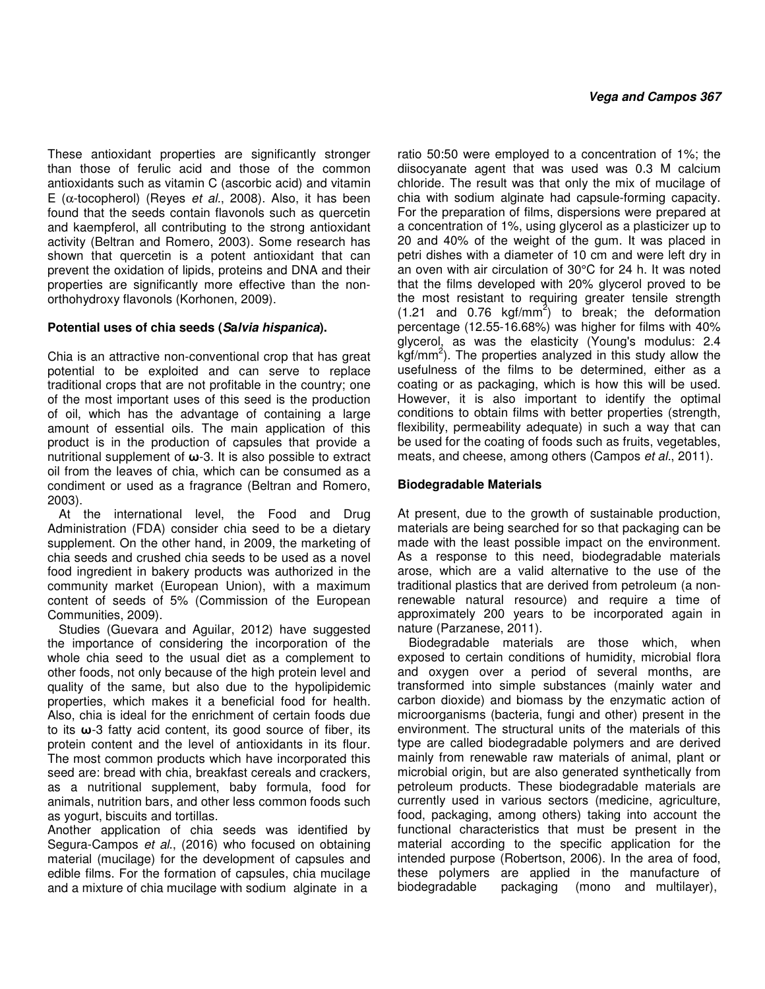These antioxidant properties are significantly stronger than those of ferulic acid and those of the common antioxidants such as vitamin C (ascorbic acid) and vitamin E ( $\alpha$ -tocopherol) (Reyes *et al.*, 2008). Also, it has been found that the seeds contain flavonols such as quercetin and kaempferol, all contributing to the strong antioxidant activity (Beltran and Romero, 2003). Some research has shown that quercetin is a potent antioxidant that can prevent the oxidation of lipids, proteins and DNA and their properties are significantly more effective than the nonorthohydroxy flavonols (Korhonen, 2009).

## **Potential uses of chia seeds (Salvia hispanica).**

Chia is an attractive non-conventional crop that has great potential to be exploited and can serve to replace traditional crops that are not profitable in the country; one of the most important uses of this seed is the production of oil, which has the advantage of containing a large amount of essential oils. The main application of this product is in the production of capsules that provide a nutritional supplement of **ω**-3. It is also possible to extract oil from the leaves of chia, which can be consumed as a condiment or used as a fragrance (Beltran and Romero, 2003).

At the international level, the Food and Drug Administration (FDA) consider chia seed to be a dietary supplement. On the other hand, in 2009, the marketing of chia seeds and crushed chia seeds to be used as a novel food ingredient in bakery products was authorized in the community market (European Union), with a maximum content of seeds of 5% (Commission of the European Communities, 2009).

Studies (Guevara and Aguilar, 2012) have suggested the importance of considering the incorporation of the whole chia seed to the usual diet as a complement to other foods, not only because of the high protein level and quality of the same, but also due to the hypolipidemic properties, which makes it a beneficial food for health. Also, chia is ideal for the enrichment of certain foods due to its **ω**-3 fatty acid content, its good source of fiber, its protein content and the level of antioxidants in its flour. The most common products which have incorporated this seed are: bread with chia, breakfast cereals and crackers, as a nutritional supplement, baby formula, food for animals, nutrition bars, and other less common foods such as yogurt, biscuits and tortillas.

Another application of chia seeds was identified by Segura-Campos et al., (2016) who focused on obtaining material (mucilage) for the development of capsules and edible films. For the formation of capsules, chia mucilage and a mixture of chia mucilage with sodium alginate in a

ratio 50:50 were employed to a concentration of 1%; the diisocyanate agent that was used was 0.3 M calcium chloride. The result was that only the mix of mucilage of chia with sodium alginate had capsule-forming capacity. For the preparation of films, dispersions were prepared at a concentration of 1%, using glycerol as a plasticizer up to 20 and 40% of the weight of the gum. It was placed in petri dishes with a diameter of 10 cm and were left dry in an oven with air circulation of 30°C for 24 h. It was noted that the films developed with 20% glycerol proved to be the most resistant to requiring greater tensile strength  $(1.21$  and 0.76 kgf/mm<sup>2</sup>) to break; the deformation percentage (12.55-16.68%) was higher for films with 40% glycerol, as was the elasticity (Young's modulus: 2.4  $\overline{k}$ gf/mm<sup>2</sup>). The properties analyzed in this study allow the usefulness of the films to be determined, either as a coating or as packaging, which is how this will be used. However, it is also important to identify the optimal conditions to obtain films with better properties (strength, flexibility, permeability adequate) in such a way that can be used for the coating of foods such as fruits, vegetables, meats, and cheese, among others (Campos et al., 2011).

## **Biodegradable Materials**

At present, due to the growth of sustainable production, materials are being searched for so that packaging can be made with the least possible impact on the environment. As a response to this need, biodegradable materials arose, which are a valid alternative to the use of the traditional plastics that are derived from petroleum (a nonrenewable natural resource) and require a time of approximately 200 years to be incorporated again in nature (Parzanese, 2011).

Biodegradable materials are those which, when exposed to certain conditions of humidity, microbial flora and oxygen over a period of several months, are transformed into simple substances (mainly water and carbon dioxide) and biomass by the enzymatic action of microorganisms (bacteria, fungi and other) present in the environment. The structural units of the materials of this type are called biodegradable polymers and are derived mainly from renewable raw materials of animal, plant or microbial origin, but are also generated synthetically from petroleum products. These biodegradable materials are currently used in various sectors (medicine, agriculture, food, packaging, among others) taking into account the functional characteristics that must be present in the material according to the specific application for the intended purpose (Robertson, 2006). In the area of food, these polymers are applied in the manufacture of biodegradable packaging (mono and multilayer),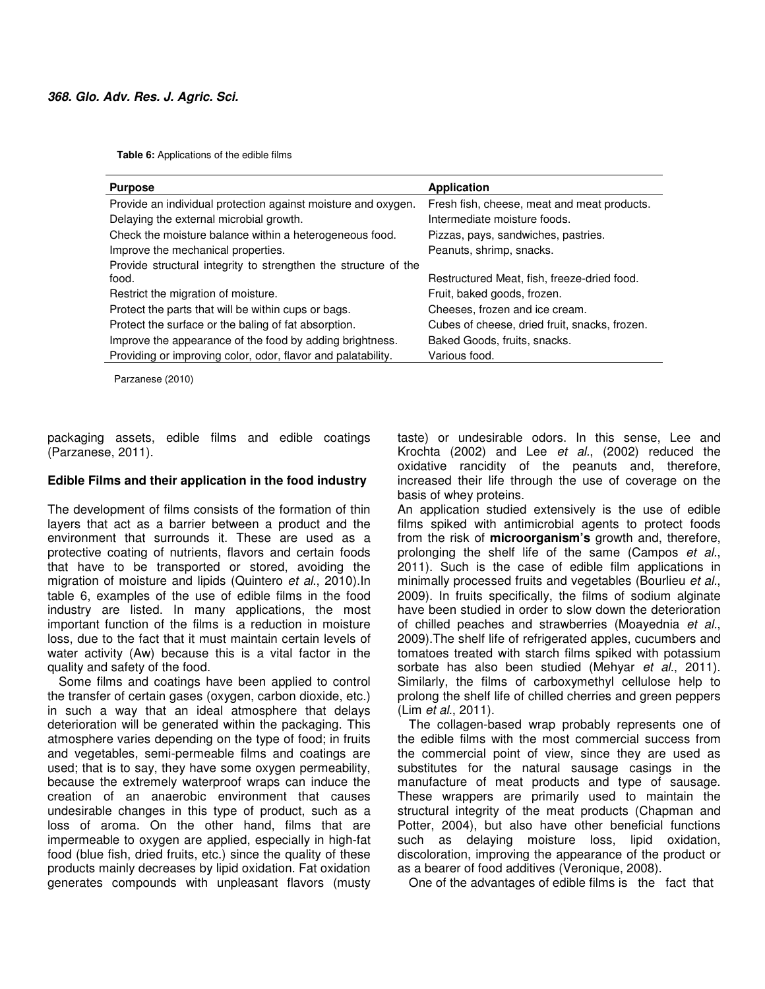**Table 6:** Applications of the edible films

| <b>Purpose</b>                                                  | <b>Application</b>                            |
|-----------------------------------------------------------------|-----------------------------------------------|
| Provide an individual protection against moisture and oxygen.   | Fresh fish, cheese, meat and meat products.   |
| Delaying the external microbial growth.                         | Intermediate moisture foods.                  |
| Check the moisture balance within a heterogeneous food.         | Pizzas, pays, sandwiches, pastries.           |
| Improve the mechanical properties.                              | Peanuts, shrimp, snacks.                      |
| Provide structural integrity to strengthen the structure of the |                                               |
| food.                                                           | Restructured Meat, fish, freeze-dried food.   |
| Restrict the migration of moisture.                             | Fruit, baked goods, frozen.                   |
| Protect the parts that will be within cups or bags.             | Cheeses, frozen and ice cream.                |
| Protect the surface or the baling of fat absorption.            | Cubes of cheese, dried fruit, snacks, frozen. |
| Improve the appearance of the food by adding brightness.        | Baked Goods, fruits, snacks.                  |
| Providing or improving color, odor, flavor and palatability.    | Various food.                                 |

Parzanese (2010)

packaging assets, edible films and edible coatings (Parzanese, 2011).

## **Edible Films and their application in the food industry**

The development of films consists of the formation of thin layers that act as a barrier between a product and the environment that surrounds it. These are used as a protective coating of nutrients, flavors and certain foods that have to be transported or stored, avoiding the migration of moisture and lipids (Quintero et al., 2010).In table 6, examples of the use of edible films in the food industry are listed. In many applications, the most important function of the films is a reduction in moisture loss, due to the fact that it must maintain certain levels of water activity (Aw) because this is a vital factor in the quality and safety of the food.

Some films and coatings have been applied to control the transfer of certain gases (oxygen, carbon dioxide, etc.) in such a way that an ideal atmosphere that delays deterioration will be generated within the packaging. This atmosphere varies depending on the type of food; in fruits and vegetables, semi-permeable films and coatings are used; that is to say, they have some oxygen permeability, because the extremely waterproof wraps can induce the creation of an anaerobic environment that causes undesirable changes in this type of product, such as a loss of aroma. On the other hand, films that are impermeable to oxygen are applied, especially in high-fat food (blue fish, dried fruits, etc.) since the quality of these products mainly decreases by lipid oxidation. Fat oxidation generates compounds with unpleasant flavors (musty taste) or undesirable odors. In this sense, Lee and Krochta (2002) and Lee et al., (2002) reduced the oxidative rancidity of the peanuts and, therefore, increased their life through the use of coverage on the basis of whey proteins.

An application studied extensively is the use of edible films spiked with antimicrobial agents to protect foods from the risk of **microorganism's** growth and, therefore, prolonging the shelf life of the same (Campos et al., 2011). Such is the case of edible film applications in minimally processed fruits and vegetables (Bourlieu et al., 2009). In fruits specifically, the films of sodium alginate have been studied in order to slow down the deterioration of chilled peaches and strawberries (Moayednia et al., 2009).The shelf life of refrigerated apples, cucumbers and tomatoes treated with starch films spiked with potassium sorbate has also been studied (Mehyar et al., 2011). Similarly, the films of carboxymethyl cellulose help to prolong the shelf life of chilled cherries and green peppers (Lim et al., 2011).

The collagen-based wrap probably represents one of the edible films with the most commercial success from the commercial point of view, since they are used as substitutes for the natural sausage casings in the manufacture of meat products and type of sausage. These wrappers are primarily used to maintain the structural integrity of the meat products (Chapman and Potter, 2004), but also have other beneficial functions such as delaying moisture loss, lipid oxidation, discoloration, improving the appearance of the product or as a bearer of food additives (Veronique, 2008).

One of the advantages of edible films is the fact that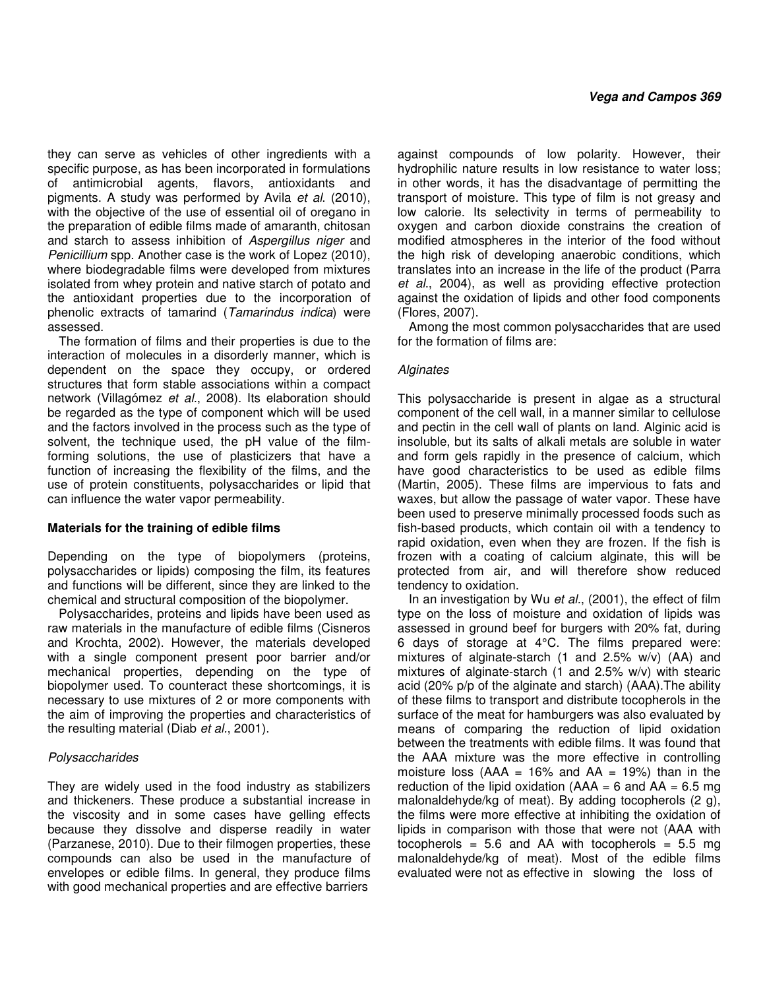they can serve as vehicles of other ingredients with a specific purpose, as has been incorporated in formulations of antimicrobial agents, flavors, antioxidants and pigments. A study was performed by Avila et al. (2010), with the objective of the use of essential oil of oregano in the preparation of edible films made of amaranth, chitosan and starch to assess inhibition of Aspergillus niger and Penicillium spp. Another case is the work of Lopez (2010), where biodegradable films were developed from mixtures isolated from whey protein and native starch of potato and the antioxidant properties due to the incorporation of phenolic extracts of tamarind (Tamarindus indica) were assessed.

The formation of films and their properties is due to the interaction of molecules in a disorderly manner, which is dependent on the space they occupy, or ordered structures that form stable associations within a compact network (Villagómez et al., 2008). Its elaboration should be regarded as the type of component which will be used and the factors involved in the process such as the type of solvent, the technique used, the pH value of the filmforming solutions, the use of plasticizers that have a function of increasing the flexibility of the films, and the use of protein constituents, polysaccharides or lipid that can influence the water vapor permeability.

## **Materials for the training of edible films**

Depending on the type of biopolymers (proteins, polysaccharides or lipids) composing the film, its features and functions will be different, since they are linked to the chemical and structural composition of the biopolymer.

Polysaccharides, proteins and lipids have been used as raw materials in the manufacture of edible films (Cisneros and Krochta, 2002). However, the materials developed with a single component present poor barrier and/or mechanical properties, depending on the type of biopolymer used. To counteract these shortcomings, it is necessary to use mixtures of 2 or more components with the aim of improving the properties and characteristics of the resulting material (Diab et al., 2001).

#### **Polysaccharides**

They are widely used in the food industry as stabilizers and thickeners. These produce a substantial increase in the viscosity and in some cases have gelling effects because they dissolve and disperse readily in water (Parzanese, 2010). Due to their filmogen properties, these compounds can also be used in the manufacture of envelopes or edible films. In general, they produce films with good mechanical properties and are effective barriers

against compounds of low polarity. However, their hydrophilic nature results in low resistance to water loss; in other words, it has the disadvantage of permitting the transport of moisture. This type of film is not greasy and low calorie. Its selectivity in terms of permeability to oxygen and carbon dioxide constrains the creation of modified atmospheres in the interior of the food without the high risk of developing anaerobic conditions, which translates into an increase in the life of the product (Parra et al., 2004), as well as providing effective protection against the oxidation of lipids and other food components (Flores, 2007).

Among the most common polysaccharides that are used for the formation of films are:

## **Alginates**

This polysaccharide is present in algae as a structural component of the cell wall, in a manner similar to cellulose and pectin in the cell wall of plants on land. Alginic acid is insoluble, but its salts of alkali metals are soluble in water and form gels rapidly in the presence of calcium, which have good characteristics to be used as edible films (Martin, 2005). These films are impervious to fats and waxes, but allow the passage of water vapor. These have been used to preserve minimally processed foods such as fish-based products, which contain oil with a tendency to rapid oxidation, even when they are frozen. If the fish is frozen with a coating of calcium alginate, this will be protected from air, and will therefore show reduced tendency to oxidation.

In an investigation by Wu et al., (2001), the effect of film type on the loss of moisture and oxidation of lipids was assessed in ground beef for burgers with 20% fat, during 6 days of storage at 4°C. The films prepared were: mixtures of alginate-starch (1 and 2.5% w/v) (AA) and mixtures of alginate-starch (1 and 2.5% w/v) with stearic acid (20% p/p of the alginate and starch) (AAA).The ability of these films to transport and distribute tocopherols in the surface of the meat for hamburgers was also evaluated by means of comparing the reduction of lipid oxidation between the treatments with edible films. It was found that the AAA mixture was the more effective in controlling moisture loss ( $AAA = 16\%$  and  $AA = 19\%$ ) than in the reduction of the lipid oxidation ( $AAA = 6$  and  $AA = 6.5$  mg malonaldehyde/kg of meat). By adding tocopherols (2 g), the films were more effective at inhibiting the oxidation of lipids in comparison with those that were not (AAA with tocopherols =  $5.6$  and AA with tocopherols =  $5.5$  mg malonaldehyde/kg of meat). Most of the edible films evaluated were not as effective in slowing the loss of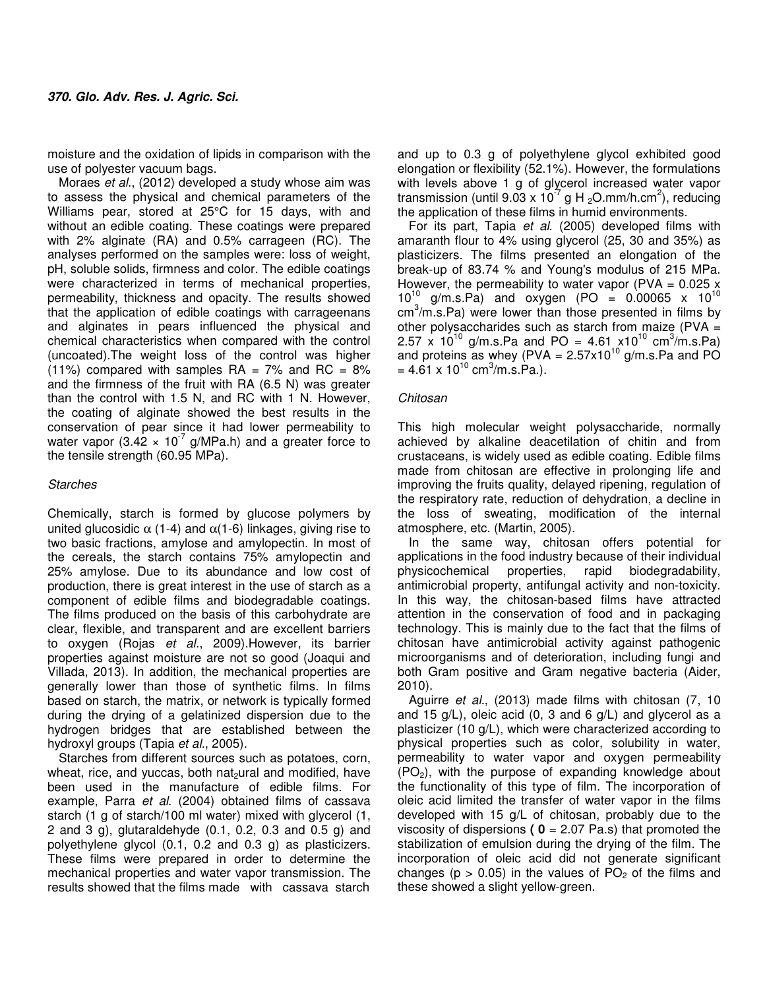moisture and the oxidation of lipids in comparison with the use of polyester vacuum bags.

Moraes et al., (2012) developed a study whose aim was to assess the physical and chemical parameters of the Williams pear, stored at 25°C for 15 days, with and without an edible coating. These coatings were prepared with 2% alginate (RA) and 0.5% carrageen (RC). The analyses performed on the samples were: loss of weight, pH, soluble solids, firmness and color. The edible coatings were characterized in terms of mechanical properties, permeability, thickness and opacity. The results showed that the application of edible coatings with carrageenans and alginates in pears influenced the physical and chemical characteristics when compared with the control (uncoated).The weight loss of the control was higher (11%) compared with samples  $RA = 7%$  and  $RC = 8%$ and the firmness of the fruit with RA (6.5 N) was greater than the control with 1.5 N, and RC with 1 N. However, the coating of alginate showed the best results in the conservation of pear since it had lower permeability to water vapor (3.42  $\times$  10<sup>-7</sup> g/MPa.h) and a greater force to the tensile strength (60.95 MPa).

## Starches

Chemically, starch is formed by glucose polymers by united glucosidic  $\alpha$  (1-4) and  $\alpha$ (1-6) linkages, giving rise to two basic fractions, amylose and amylopectin. In most of the cereals, the starch contains 75% amylopectin and 25% amylose. Due to its abundance and low cost of production, there is great interest in the use of starch as a component of edible films and biodegradable coatings. The films produced on the basis of this carbohydrate are clear, flexible, and transparent and are excellent barriers to oxygen (Rojas et al., 2009).However, its barrier properties against moisture are not so good (Joaqui and Villada, 2013). In addition, the mechanical properties are generally lower than those of synthetic films. In films based on starch, the matrix, or network is typically formed during the drying of a gelatinized dispersion due to the hydrogen bridges that are established between the hydroxyl groups (Tapia et al., 2005).

Starches from different sources such as potatoes, corn, wheat, rice, and yuccas, both nat<sub>2</sub>ural and modified, have been used in the manufacture of edible films. For example, Parra et al. (2004) obtained films of cassava starch (1 g of starch/100 ml water) mixed with glycerol (1, 2 and 3 g), glutaraldehyde (0.1, 0.2, 0.3 and 0.5 g) and polyethylene glycol (0.1, 0.2 and 0.3 g) as plasticizers. These films were prepared in order to determine the mechanical properties and water vapor transmission. The results showed that the films made with cassava starch

and up to 0.3 g of polyethylene glycol exhibited good elongation or flexibility (52.1%). However, the formulations with levels above 1 g of glycerol increased water vapor transmission (until 9.03 x 10<sup>-7</sup> g H <sub>2</sub>O.mm/h.cm<sup>2</sup>), reducing the application of these films in humid environments.

For its part, Tapia et al. (2005) developed films with amaranth flour to 4% using glycerol (25, 30 and 35%) as plasticizers. The films presented an elongation of the break-up of 83.74 % and Young's modulus of 215 MPa. However, the permeability to water vapor (PVA =  $0.025$  x  $10^{10}$  g/m.s.Pa) and oxygen (PO = 0.00065 x 10<sup>10</sup>  $cm<sup>3</sup>/m.s.Pa$ ) were lower than those presented in films by other polysaccharides such as starch from maize (PVA  $=$ 2.57 x  $10^{10}$  g/m.s.Pa and PO = 4.61 x10<sup>10</sup> cm<sup>3</sup>/m.s.Pa) and proteins as whey (PVA =  $2.57 \times 10^{10}$  g/m.s.Pa and PO  $= 4.61 \times 10^{10}$  cm<sup>3</sup>/m.s.Pa.).

## Chitosan

This high molecular weight polysaccharide, normally achieved by alkaline deacetilation of chitin and from crustaceans, is widely used as edible coating. Edible films made from chitosan are effective in prolonging life and improving the fruits quality, delayed ripening, regulation of the respiratory rate, reduction of dehydration, a decline in the loss of sweating, modification of the internal atmosphere, etc. (Martin, 2005).

In the same way, chitosan offers potential for applications in the food industry because of their individual physicochemical properties, rapid biodegradability, antimicrobial property, antifungal activity and non-toxicity. In this way, the chitosan-based films have attracted attention in the conservation of food and in packaging technology. This is mainly due to the fact that the films of chitosan have antimicrobial activity against pathogenic microorganisms and of deterioration, including fungi and both Gram positive and Gram negative bacteria (Aider, 2010).

Aguirre et al., (2013) made films with chitosan (7, 10 and 15 g/L), oleic acid (0, 3 and 6 g/L) and glycerol as a plasticizer (10 g/L), which were characterized according to physical properties such as color, solubility in water, permeability to water vapor and oxygen permeability (PO2), with the purpose of expanding knowledge about the functionality of this type of film. The incorporation of oleic acid limited the transfer of water vapor in the films developed with 15 g/L of chitosan, probably due to the viscosity of dispersions **( 0** = 2.07 Pa.s) that promoted the stabilization of emulsion during the drying of the film. The incorporation of oleic acid did not generate significant changes ( $p > 0.05$ ) in the values of PO<sub>2</sub> of the films and these showed a slight yellow-green.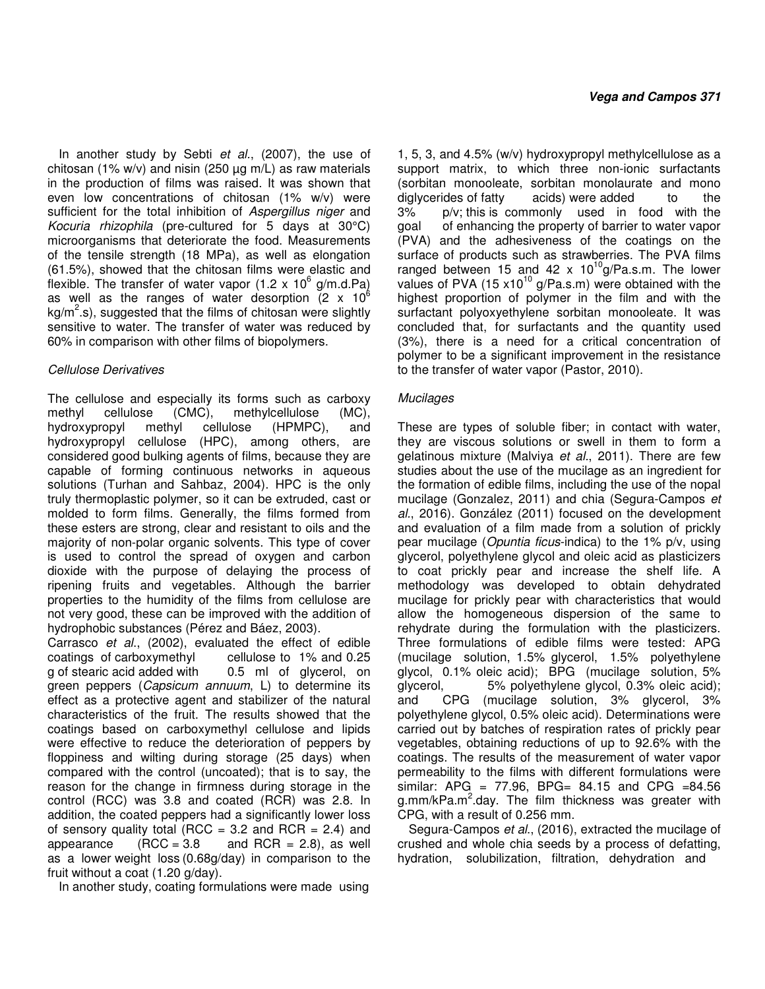In another study by Sebti et al., (2007), the use of chitosan (1% w/v) and nisin (250  $\mu$ g m/L) as raw materials in the production of films was raised. It was shown that even low concentrations of chitosan (1% w/v) were sufficient for the total inhibition of Aspergillus niger and Kocuria rhizophila (pre-cultured for 5 days at 30°C) microorganisms that deteriorate the food. Measurements of the tensile strength (18 MPa), as well as elongation (61.5%), showed that the chitosan films were elastic and flexible. The transfer of water vapor (1.2 x 10 $^6$  g/m.d.Pa) as well as the ranges of water desorption (2  $\times$  10<sup>6</sup>  $kg/m<sup>2</sup>$ .s), suggested that the films of chitosan were slightly sensitive to water. The transfer of water was reduced by 60% in comparison with other films of biopolymers.

## Cellulose Derivatives

The cellulose and especially its forms such as carboxy methyl cellulose (CMC), methylcellulose (MC), hydroxypropyl methyl cellulose (HPMPC), and hydroxypropyl cellulose (HPC), among others, are considered good bulking agents of films, because they are capable of forming continuous networks in aqueous solutions (Turhan and Sahbaz, 2004). HPC is the only truly thermoplastic polymer, so it can be extruded, cast or molded to form films. Generally, the films formed from these esters are strong, clear and resistant to oils and the majority of non-polar organic solvents. This type of cover is used to control the spread of oxygen and carbon dioxide with the purpose of delaying the process of ripening fruits and vegetables. Although the barrier properties to the humidity of the films from cellulose are not very good, these can be improved with the addition of hydrophobic substances (Pérez and Báez, 2003).

Carrasco et al., (2002), evaluated the effect of edible coatings of carboxymethyl cellulose to 1% and 0.25 g of stearic acid added with 0.5 ml of glycerol, on green peppers (Capsicum annuum, L) to determine its effect as a protective agent and stabilizer of the natural characteristics of the fruit. The results showed that the coatings based on carboxymethyl cellulose and lipids were effective to reduce the deterioration of peppers by floppiness and wilting during storage (25 days) when compared with the control (uncoated); that is to say, the reason for the change in firmness during storage in the control (RCC) was 3.8 and coated (RCR) was 2.8. In addition, the coated peppers had a significantly lower loss of sensory quality total (RCC = 3.2 and RCR = 2.4) and appearance  $(RCC = 3.8$  and RCR = 2.8), as well as a lower weight loss (0.68g/day) in comparison to the fruit without a coat (1.20 g/day).

In another study, coating formulations were made using

1, 5, 3, and 4.5% (w/v) hydroxypropyl methylcellulose as a support matrix, to which three non-ionic surfactants (sorbitan monooleate, sorbitan monolaurate and mono diglycerides of fatty acids) were added to the 3% p/v; this is commonly used in food with the goal of enhancing the property of barrier to water vapor (PVA) and the adhesiveness of the coatings on the surface of products such as strawberries. The PVA films ranged between 15 and 42  $\times$  10<sup>10</sup>g/Pa.s.m. The lower values of PVA  $(15 \times 10^{10} \text{ g/Pa.s.m})$  were obtained with the highest proportion of polymer in the film and with the surfactant polyoxyethylene sorbitan monooleate. It was concluded that, for surfactants and the quantity used (3%), there is a need for a critical concentration of polymer to be a significant improvement in the resistance to the transfer of water vapor (Pastor, 2010).

## **Mucilages**

These are types of soluble fiber; in contact with water, they are viscous solutions or swell in them to form a gelatinous mixture (Malviya et al., 2011). There are few studies about the use of the mucilage as an ingredient for the formation of edible films, including the use of the nopal mucilage (Gonzalez, 2011) and chia (Segura-Campos et al., 2016). González (2011) focused on the development and evaluation of a film made from a solution of prickly pear mucilage (Opuntia ficus-indica) to the 1% p/v, using glycerol, polyethylene glycol and oleic acid as plasticizers to coat prickly pear and increase the shelf life. A methodology was developed to obtain dehydrated mucilage for prickly pear with characteristics that would allow the homogeneous dispersion of the same to rehydrate during the formulation with the plasticizers. Three formulations of edible films were tested: APG (mucilage solution, 1.5% glycerol, 1.5% polyethylene glycol, 0.1% oleic acid); BPG (mucilage solution, 5% glycerol, 5% polyethylene glycol, 0.3% oleic acid); and CPG (mucilage solution, 3% glycerol, 3% polyethylene glycol, 0.5% oleic acid). Determinations were carried out by batches of respiration rates of prickly pear vegetables, obtaining reductions of up to 92.6% with the coatings. The results of the measurement of water vapor permeability to the films with different formulations were similar: APG = 77.96, BPG=  $84.15$  and CPG =  $84.56$ g.mm/kPa.m<sup>2</sup>.day. The film thickness was greater with CPG, with a result of 0.256 mm.

Segura-Campos et al., (2016), extracted the mucilage of crushed and whole chia seeds by a process of defatting, hydration, solubilization, filtration, dehydration and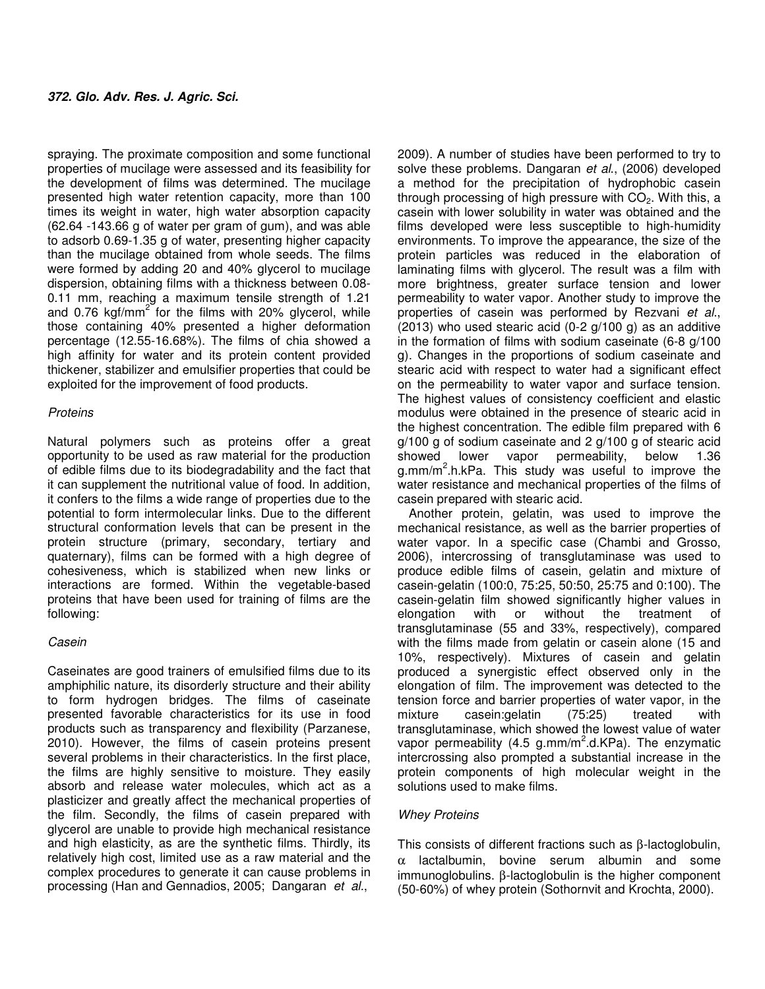spraying. The proximate composition and some functional properties of mucilage were assessed and its feasibility for the development of films was determined. The mucilage presented high water retention capacity, more than 100 times its weight in water, high water absorption capacity (62.64 -143.66 g of water per gram of gum), and was able to adsorb 0.69-1.35 g of water, presenting higher capacity than the mucilage obtained from whole seeds. The films were formed by adding 20 and 40% glycerol to mucilage dispersion, obtaining films with a thickness between 0.08- 0.11 mm, reaching a maximum tensile strength of 1.21 and 0.76 kgf/mm<sup>2</sup> for the films with 20% glycerol, while those containing 40% presented a higher deformation percentage (12.55-16.68%). The films of chia showed a high affinity for water and its protein content provided thickener, stabilizer and emulsifier properties that could be exploited for the improvement of food products.

## **Proteins**

Natural polymers such as proteins offer a great opportunity to be used as raw material for the production of edible films due to its biodegradability and the fact that it can supplement the nutritional value of food. In addition, it confers to the films a wide range of properties due to the potential to form intermolecular links. Due to the different structural conformation levels that can be present in the protein structure (primary, secondary, tertiary and quaternary), films can be formed with a high degree of cohesiveness, which is stabilized when new links or interactions are formed. Within the vegetable-based proteins that have been used for training of films are the following:

## Casein

Caseinates are good trainers of emulsified films due to its amphiphilic nature, its disorderly structure and their ability to form hydrogen bridges. The films of caseinate presented favorable characteristics for its use in food products such as transparency and flexibility (Parzanese, 2010). However, the films of casein proteins present several problems in their characteristics. In the first place, the films are highly sensitive to moisture. They easily absorb and release water molecules, which act as a plasticizer and greatly affect the mechanical properties of the film. Secondly, the films of casein prepared with glycerol are unable to provide high mechanical resistance and high elasticity, as are the synthetic films. Thirdly, its relatively high cost, limited use as a raw material and the complex procedures to generate it can cause problems in processing (Han and Gennadios, 2005; Dangaran et al.,

2009). A number of studies have been performed to try to solve these problems. Dangaran et al., (2006) developed a method for the precipitation of hydrophobic casein through processing of high pressure with  $CO<sub>2</sub>$ . With this, a casein with lower solubility in water was obtained and the films developed were less susceptible to high-humidity environments. To improve the appearance, the size of the protein particles was reduced in the elaboration of laminating films with glycerol. The result was a film with more brightness, greater surface tension and lower permeability to water vapor. Another study to improve the properties of casein was performed by Rezvani et al., (2013) who used stearic acid  $(0-2 g/100 g)$  as an additive in the formation of films with sodium caseinate (6-8 g/100 g). Changes in the proportions of sodium caseinate and stearic acid with respect to water had a significant effect on the permeability to water vapor and surface tension. The highest values of consistency coefficient and elastic modulus were obtained in the presence of stearic acid in the highest concentration. The edible film prepared with 6 g/100 g of sodium caseinate and 2 g/100 g of stearic acid showed lower vapor permeability, below 1.36 g.mm/m<sup>2</sup>.h.kPa. This study was useful to improve the water resistance and mechanical properties of the films of casein prepared with stearic acid.

Another protein, gelatin, was used to improve the mechanical resistance, as well as the barrier properties of water vapor. In a specific case (Chambi and Grosso, 2006), intercrossing of transglutaminase was used to produce edible films of casein, gelatin and mixture of casein-gelatin (100:0, 75:25, 50:50, 25:75 and 0:100). The casein-gelatin film showed significantly higher values in elongation with or without the treatment of transglutaminase (55 and 33%, respectively), compared with the films made from gelatin or casein alone (15 and 10%, respectively). Mixtures of casein and gelatin produced a synergistic effect observed only in the elongation of film. The improvement was detected to the tension force and barrier properties of water vapor, in the mixture casein:gelatin (75:25) treated with transglutaminase, which showed the lowest value of water vapor permeability (4.5 g.mm/m<sup>2</sup>.d.KPa). The enzymatic intercrossing also prompted a substantial increase in the protein components of high molecular weight in the solutions used to make films.

## Whey Proteins

This consists of different fractions such as β-lactoglobulin, α lactalbumin, bovine serum albumin and some immunoglobulins. β-lactoglobulin is the higher component (50-60%) of whey protein (Sothornvit and Krochta, 2000).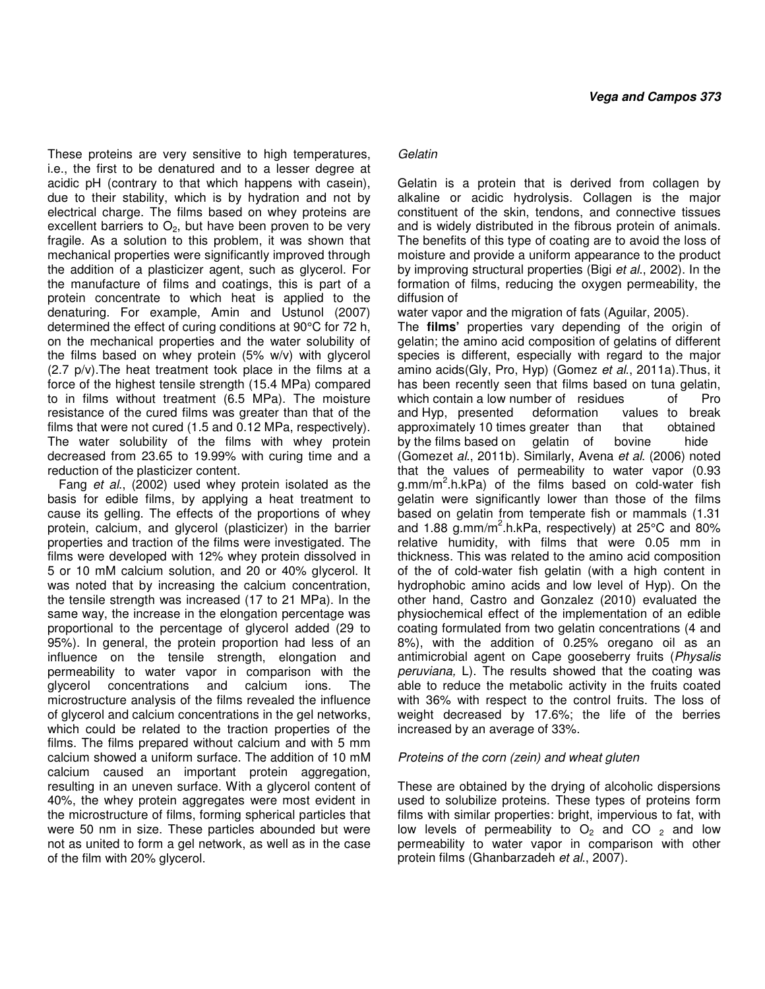These proteins are very sensitive to high temperatures, i.e., the first to be denatured and to a lesser degree at acidic pH (contrary to that which happens with casein), due to their stability, which is by hydration and not by electrical charge. The films based on whey proteins are excellent barriers to  $O<sub>2</sub>$ , but have been proven to be very fragile. As a solution to this problem, it was shown that mechanical properties were significantly improved through the addition of a plasticizer agent, such as glycerol. For the manufacture of films and coatings, this is part of a protein concentrate to which heat is applied to the denaturing. For example, Amin and Ustunol (2007) determined the effect of curing conditions at 90°C for 72 h, on the mechanical properties and the water solubility of the films based on whey protein (5% w/v) with glycerol (2.7 p/v).The heat treatment took place in the films at a force of the highest tensile strength (15.4 MPa) compared to in films without treatment (6.5 MPa). The moisture resistance of the cured films was greater than that of the films that were not cured (1.5 and 0.12 MPa, respectively). The water solubility of the films with whey protein decreased from 23.65 to 19.99% with curing time and a reduction of the plasticizer content.

Fang et al., (2002) used whey protein isolated as the basis for edible films, by applying a heat treatment to cause its gelling. The effects of the proportions of whey protein, calcium, and glycerol (plasticizer) in the barrier properties and traction of the films were investigated. The films were developed with 12% whey protein dissolved in 5 or 10 mM calcium solution, and 20 or 40% glycerol. It was noted that by increasing the calcium concentration, the tensile strength was increased (17 to 21 MPa). In the same way, the increase in the elongation percentage was proportional to the percentage of glycerol added (29 to 95%). In general, the protein proportion had less of an influence on the tensile strength, elongation and permeability to water vapor in comparison with the glycerol concentrations and calcium ions. The microstructure analysis of the films revealed the influence of glycerol and calcium concentrations in the gel networks, which could be related to the traction properties of the films. The films prepared without calcium and with 5 mm calcium showed a uniform surface. The addition of 10 mM calcium caused an important protein aggregation, resulting in an uneven surface. With a glycerol content of 40%, the whey protein aggregates were most evident in the microstructure of films, forming spherical particles that were 50 nm in size. These particles abounded but were not as united to form a gel network, as well as in the case of the film with 20% glycerol.

## **Gelatin**

Gelatin is a protein that is derived from collagen by alkaline or acidic hydrolysis. Collagen is the major constituent of the skin, tendons, and connective tissues and is widely distributed in the fibrous protein of animals. The benefits of this type of coating are to avoid the loss of moisture and provide a uniform appearance to the product by improving structural properties (Bigi et al., 2002). In the formation of films, reducing the oxygen permeability, the diffusion of

water vapor and the migration of fats (Aguilar, 2005).

The **films'** properties vary depending of the origin of gelatin; the amino acid composition of gelatins of different species is different, especially with regard to the major amino acids(Gly, Pro, Hyp) (Gomez et al., 2011a). Thus, it has been recently seen that films based on tuna gelatin, which contain a low number of residues of Pro and Hyp, presented deformation values to break approximately 10 times greater than that obtained by the films based on gelatin of bovine hide (Gomezet al., 2011b). Similarly, Avena et al. (2006) noted that the values of permeability to water vapor (0.93 g.mm/m<sup>2</sup>.h.kPa) of the films based on cold-water fish gelatin were significantly lower than those of the films based on gelatin from temperate fish or mammals (1.31 and 1.88  $g$ .mm/m<sup>2</sup>.h.kPa, respectively) at 25°C and 80% relative humidity, with films that were 0.05 mm in thickness. This was related to the amino acid composition of the of cold-water fish gelatin (with a high content in hydrophobic amino acids and low level of Hyp). On the other hand, Castro and Gonzalez (2010) evaluated the physiochemical effect of the implementation of an edible coating formulated from two gelatin concentrations (4 and 8%), with the addition of 0.25% oregano oil as an antimicrobial agent on Cape gooseberry fruits (Physalis peruviana, L). The results showed that the coating was able to reduce the metabolic activity in the fruits coated with 36% with respect to the control fruits. The loss of weight decreased by 17.6%; the life of the berries increased by an average of 33%.

## Proteins of the corn (zein) and wheat gluten

These are obtained by the drying of alcoholic dispersions used to solubilize proteins. These types of proteins form films with similar properties: bright, impervious to fat, with low levels of permeability to  $O_2$  and CO  $_2$  and low permeability to water vapor in comparison with other protein films (Ghanbarzadeh et al., 2007).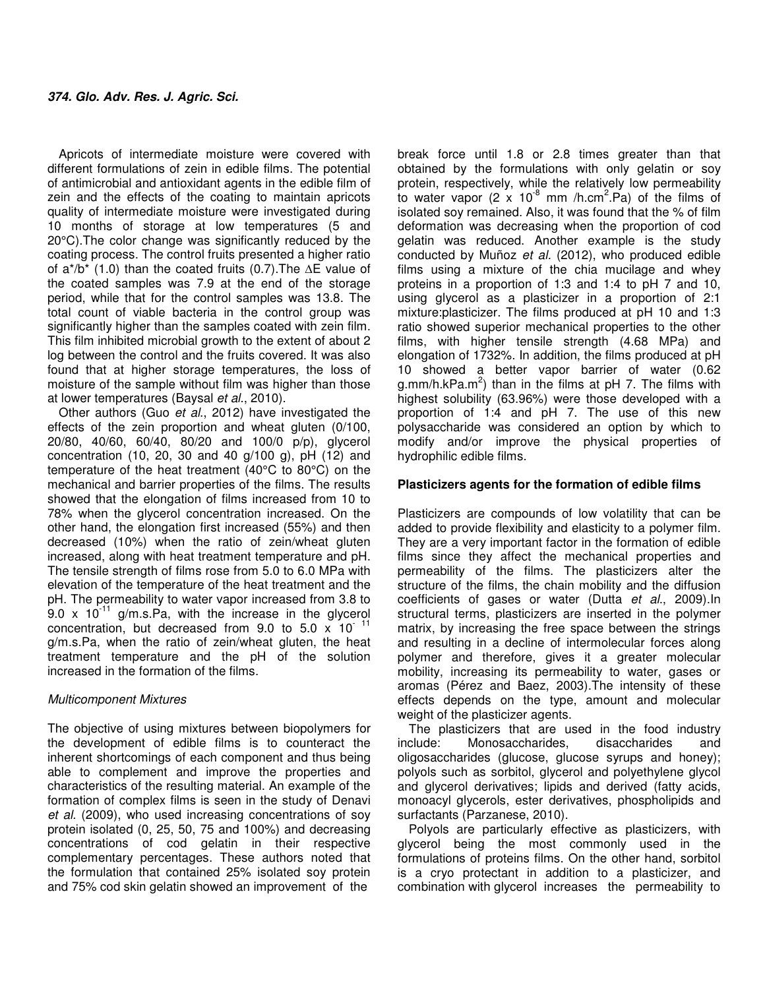Apricots of intermediate moisture were covered with different formulations of zein in edible films. The potential of antimicrobial and antioxidant agents in the edible film of zein and the effects of the coating to maintain apricots quality of intermediate moisture were investigated during 10 months of storage at low temperatures (5 and 20°C).The color change was significantly reduced by the coating process. The control fruits presented a higher ratio of a\*/b\* (1.0) than the coated fruits (0.7).The **∆**E value of the coated samples was 7.9 at the end of the storage period, while that for the control samples was 13.8. The total count of viable bacteria in the control group was significantly higher than the samples coated with zein film. This film inhibited microbial growth to the extent of about 2 log between the control and the fruits covered. It was also found that at higher storage temperatures, the loss of moisture of the sample without film was higher than those at lower temperatures (Baysal et al., 2010).

Other authors (Guo et al., 2012) have investigated the effects of the zein proportion and wheat gluten (0/100, 20/80, 40/60, 60/40, 80/20 and 100/0 p/p), glycerol concentration (10, 20, 30 and 40 g/100 g), pH (12) and temperature of the heat treatment (40°C to 80°C) on the mechanical and barrier properties of the films. The results showed that the elongation of films increased from 10 to 78% when the glycerol concentration increased. On the other hand, the elongation first increased (55%) and then decreased (10%) when the ratio of zein/wheat gluten increased, along with heat treatment temperature and pH. The tensile strength of films rose from 5.0 to 6.0 MPa with elevation of the temperature of the heat treatment and the pH. The permeability to water vapor increased from 3.8 to  $9.0 \times 10^{-11}$  g/m.s.Pa, with the increase in the glycerol concentration, but decreased from 9.0 to 5.0  $\times$  10<sup>-11</sup> g/m.s.Pa, when the ratio of zein/wheat gluten, the heat treatment temperature and the pH of the solution increased in the formation of the films.

## Multicomponent Mixtures

The objective of using mixtures between biopolymers for the development of edible films is to counteract the inherent shortcomings of each component and thus being able to complement and improve the properties and characteristics of the resulting material. An example of the formation of complex films is seen in the study of Denavi et al. (2009), who used increasing concentrations of soy protein isolated (0, 25, 50, 75 and 100%) and decreasing concentrations of cod gelatin in their respective complementary percentages. These authors noted that the formulation that contained 25% isolated soy protein and 75% cod skin gelatin showed an improvement of the

break force until 1.8 or 2.8 times greater than that obtained by the formulations with only gelatin or soy protein, respectively, while the relatively low permeability to water vapor (2  $\times$  10<sup>-8</sup> mm /h.cm<sup>2</sup>.Pa) of the films of isolated soy remained. Also, it was found that the % of film deformation was decreasing when the proportion of cod gelatin was reduced. Another example is the study conducted by Muñoz et al. (2012), who produced edible films using a mixture of the chia mucilage and whey proteins in a proportion of 1:3 and 1:4 to pH 7 and 10, using glycerol as a plasticizer in a proportion of 2:1 mixture:plasticizer. The films produced at pH 10 and 1:3 ratio showed superior mechanical properties to the other films, with higher tensile strength (4.68 MPa) and elongation of 1732%. In addition, the films produced at pH 10 showed a better vapor barrier of water (0.62 g.mm/h.kPa.m<sup>2</sup>) than in the films at pH 7. The films with highest solubility (63.96%) were those developed with a proportion of 1:4 and pH 7. The use of this new polysaccharide was considered an option by which to modify and/or improve the physical properties of hydrophilic edible films.

## **Plasticizers agents for the formation of edible films**

Plasticizers are compounds of low volatility that can be added to provide flexibility and elasticity to a polymer film. They are a very important factor in the formation of edible films since they affect the mechanical properties and permeability of the films. The plasticizers alter the structure of the films, the chain mobility and the diffusion coefficients of gases or water (Dutta et al., 2009).In structural terms, plasticizers are inserted in the polymer matrix, by increasing the free space between the strings and resulting in a decline of intermolecular forces along polymer and therefore, gives it a greater molecular mobility, increasing its permeability to water, gases or aromas (Pérez and Baez, 2003).The intensity of these effects depends on the type, amount and molecular weight of the plasticizer agents.

The plasticizers that are used in the food industry include: Monosaccharides, disaccharides and oligosaccharides (glucose, glucose syrups and honey); polyols such as sorbitol, glycerol and polyethylene glycol and glycerol derivatives; lipids and derived (fatty acids, monoacyl glycerols, ester derivatives, phospholipids and surfactants (Parzanese, 2010).

Polyols are particularly effective as plasticizers, with glycerol being the most commonly used in the formulations of proteins films. On the other hand, sorbitol is a cryo protectant in addition to a plasticizer, and combination with glycerol increases the permeability to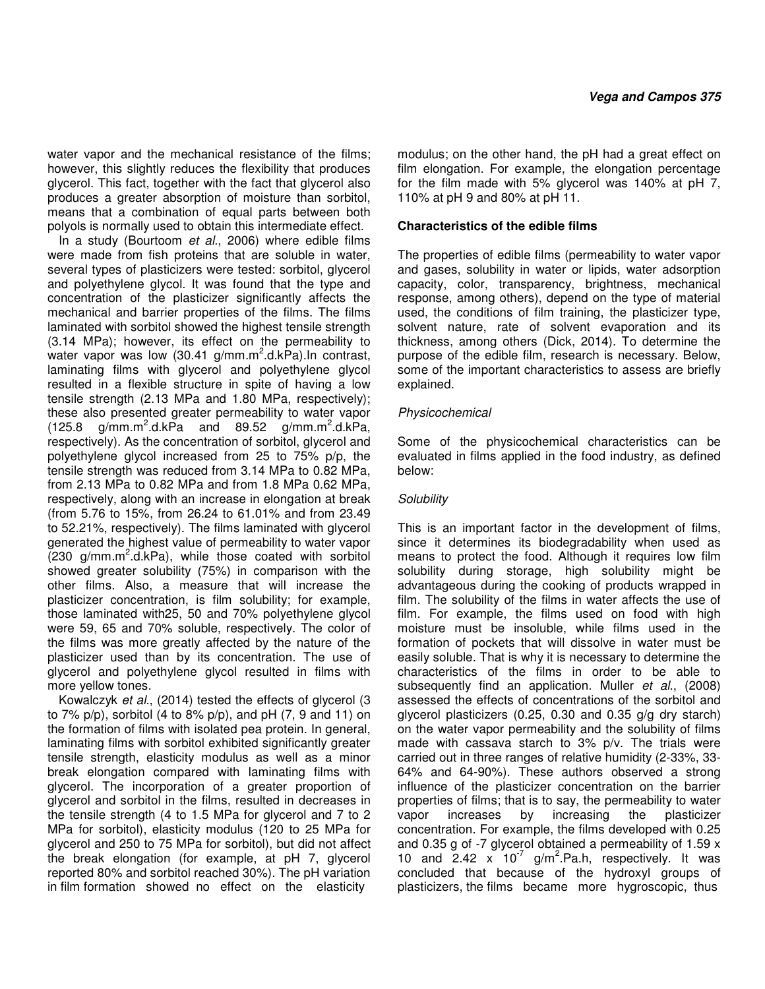water vapor and the mechanical resistance of the films; however, this slightly reduces the flexibility that produces glycerol. This fact, together with the fact that glycerol also produces a greater absorption of moisture than sorbitol, means that a combination of equal parts between both polyols is normally used to obtain this intermediate effect.

In a study (Bourtoom et al., 2006) where edible films were made from fish proteins that are soluble in water, several types of plasticizers were tested: sorbitol, glycerol and polyethylene glycol. It was found that the type and concentration of the plasticizer significantly affects the mechanical and barrier properties of the films. The films laminated with sorbitol showed the highest tensile strength (3.14 MPa); however, its effect on the permeability to water vapor was low (30.41  $g/mm.m^2.d.kPa$ ). In contrast, laminating films with glycerol and polyethylene glycol resulted in a flexible structure in spite of having a low tensile strength (2.13 MPa and 1.80 MPa, respectively); these also presented greater permeability to water vapor  $(125.8 \text{ g/mm} \cdot \text{m}^2 \cdot \text{d} \cdot \text{kPa}$  and 89.52 g/mm.m<sup>2</sup>.d.kPa, respectively). As the concentration of sorbitol, glycerol and polyethylene glycol increased from 25 to 75% p/p, the tensile strength was reduced from 3.14 MPa to 0.82 MPa, from 2.13 MPa to 0.82 MPa and from 1.8 MPa 0.62 MPa, respectively, along with an increase in elongation at break (from 5.76 to 15%, from 26.24 to 61.01% and from 23.49 to 52.21%, respectively). The films laminated with glycerol generated the highest value of permeability to water vapor  $(230)$  g/mm.m<sup>2</sup>.d.kPa), while those coated with sorbitol showed greater solubility (75%) in comparison with the other films. Also, a measure that will increase the plasticizer concentration, is film solubility; for example, those laminated with25, 50 and 70% polyethylene glycol were 59, 65 and 70% soluble, respectively. The color of the films was more greatly affected by the nature of the plasticizer used than by its concentration. The use of glycerol and polyethylene glycol resulted in films with more yellow tones.

Kowalczyk et al., (2014) tested the effects of glycerol (3 to 7%  $p/p$ , sorbitol (4 to 8%  $p/p$ ), and  $pH$  (7, 9 and 11) on the formation of films with isolated pea protein. In general, laminating films with sorbitol exhibited significantly greater tensile strength, elasticity modulus as well as a minor break elongation compared with laminating films with glycerol. The incorporation of a greater proportion of glycerol and sorbitol in the films, resulted in decreases in the tensile strength (4 to 1.5 MPa for glycerol and 7 to 2 MPa for sorbitol), elasticity modulus (120 to 25 MPa for glycerol and 250 to 75 MPa for sorbitol), but did not affect the break elongation (for example, at pH 7, glycerol reported 80% and sorbitol reached 30%). The pH variation in film formation showed no effect on the elasticity

modulus; on the other hand, the pH had a great effect on film elongation. For example, the elongation percentage for the film made with 5% glycerol was 140% at pH 7, 110% at pH 9 and 80% at pH 11.

## **Characteristics of the edible films**

The properties of edible films (permeability to water vapor and gases, solubility in water or lipids, water adsorption capacity, color, transparency, brightness, mechanical response, among others), depend on the type of material used, the conditions of film training, the plasticizer type, solvent nature, rate of solvent evaporation and its thickness, among others (Dick, 2014). To determine the purpose of the edible film, research is necessary. Below, some of the important characteristics to assess are briefly explained.

## **Physicochemical**

Some of the physicochemical characteristics can be evaluated in films applied in the food industry, as defined below:

## **Solubility**

This is an important factor in the development of films, since it determines its biodegradability when used as means to protect the food. Although it requires low film solubility during storage, high solubility might be advantageous during the cooking of products wrapped in film. The solubility of the films in water affects the use of film. For example, the films used on food with high moisture must be insoluble, while films used in the formation of pockets that will dissolve in water must be easily soluble. That is why it is necessary to determine the characteristics of the films in order to be able to subsequently find an application. Muller et al., (2008) assessed the effects of concentrations of the sorbitol and glycerol plasticizers (0.25, 0.30 and 0.35 g/g dry starch) on the water vapor permeability and the solubility of films made with cassava starch to 3% p/v. The trials were carried out in three ranges of relative humidity (2-33%, 33- 64% and 64-90%). These authors observed a strong influence of the plasticizer concentration on the barrier properties of films; that is to say, the permeability to water vapor increases by increasing the plasticizer concentration. For example, the films developed with 0.25 and 0.35 g of -7 glycerol obtained a permeability of 1.59 x 10 and  $2.42 \times 10^{-7}$  g/m<sup>2</sup>.Pa.h, respectively. It was concluded that because of the hydroxyl groups of plasticizers, the films became more hygroscopic, thus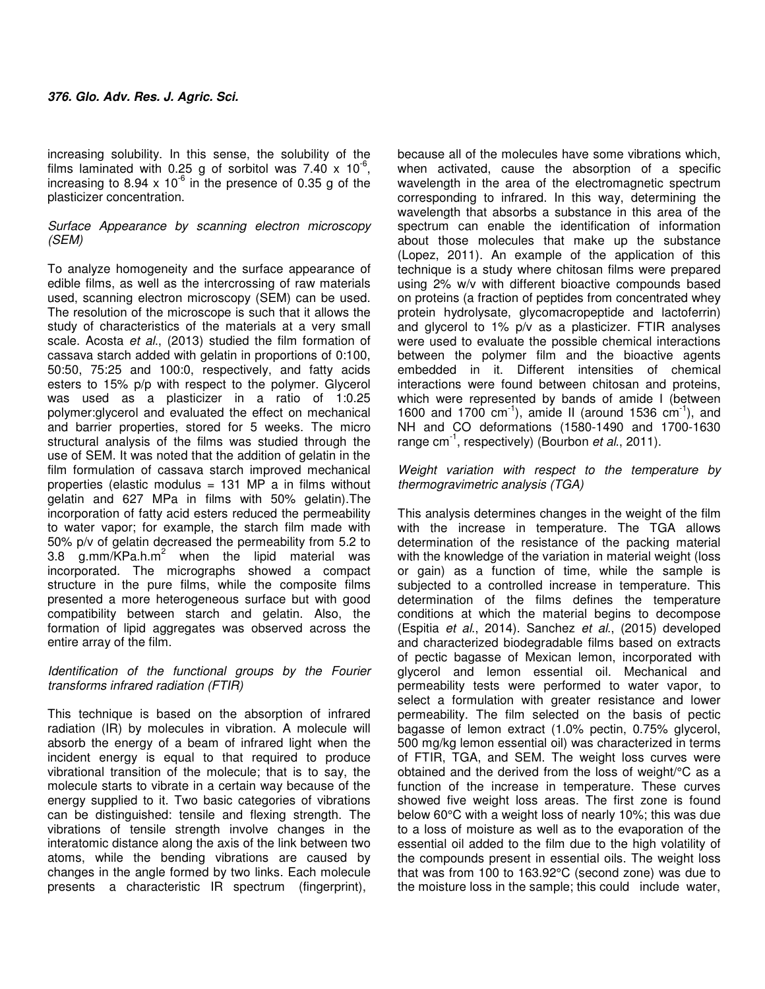increasing solubility. In this sense, the solubility of the films laminated with 0.25 g of sorbitol was 7.40 x 10 $^6$ , increasing to 8.94 x  $10^{-6}$  in the presence of 0.35 g of the plasticizer concentration.

## Surface Appearance by scanning electron microscopy (SEM)

To analyze homogeneity and the surface appearance of edible films, as well as the intercrossing of raw materials used, scanning electron microscopy (SEM) can be used. The resolution of the microscope is such that it allows the study of characteristics of the materials at a very small scale. Acosta et al., (2013) studied the film formation of cassava starch added with gelatin in proportions of 0:100, 50:50, 75:25 and 100:0, respectively, and fatty acids esters to 15% p/p with respect to the polymer. Glycerol was used as a plasticizer in a ratio of 1:0.25 polymer:glycerol and evaluated the effect on mechanical and barrier properties, stored for 5 weeks. The micro structural analysis of the films was studied through the use of SEM. It was noted that the addition of gelatin in the film formulation of cassava starch improved mechanical properties (elastic modulus  $= 131$  MP a in films without gelatin and 627 MPa in films with 50% gelatin).The incorporation of fatty acid esters reduced the permeability to water vapor; for example, the starch film made with 50% p/v of gelatin decreased the permeability from 5.2 to 3.8  $g$ .mm/KPa.h.m<sup>2</sup> when the lipid material was incorporated. The micrographs showed a compact structure in the pure films, while the composite films presented a more heterogeneous surface but with good compatibility between starch and gelatin. Also, the formation of lipid aggregates was observed across the entire array of the film.

## Identification of the functional groups by the Fourier transforms infrared radiation (FTIR)

This technique is based on the absorption of infrared radiation (IR) by molecules in vibration. A molecule will absorb the energy of a beam of infrared light when the incident energy is equal to that required to produce vibrational transition of the molecule; that is to say, the molecule starts to vibrate in a certain way because of the energy supplied to it. Two basic categories of vibrations can be distinguished: tensile and flexing strength. The vibrations of tensile strength involve changes in the interatomic distance along the axis of the link between two atoms, while the bending vibrations are caused by changes in the angle formed by two links. Each molecule presents a characteristic IR spectrum (fingerprint),

because all of the molecules have some vibrations which, when activated, cause the absorption of a specific wavelength in the area of the electromagnetic spectrum corresponding to infrared. In this way, determining the wavelength that absorbs a substance in this area of the spectrum can enable the identification of information about those molecules that make up the substance (Lopez, 2011). An example of the application of this technique is a study where chitosan films were prepared using 2% w/v with different bioactive compounds based on proteins (a fraction of peptides from concentrated whey protein hydrolysate, glycomacropeptide and lactoferrin) and glycerol to 1% p/v as a plasticizer. FTIR analyses were used to evaluate the possible chemical interactions between the polymer film and the bioactive agents embedded in it. Different intensities of chemical interactions were found between chitosan and proteins, which were represented by bands of amide I (between 1600 and 1700  $cm^{-1}$ ), amide II (around 1536  $cm^{-1}$ ), and NH and CO deformations (1580-1490 and 1700-1630 range  $cm^{-1}$ , respectively) (Bourbon *et al.*, 2011).

## Weight variation with respect to the temperature by thermogravimetric analysis (TGA)

This analysis determines changes in the weight of the film with the increase in temperature. The TGA allows determination of the resistance of the packing material with the knowledge of the variation in material weight (loss or gain) as a function of time, while the sample is subjected to a controlled increase in temperature. This determination of the films defines the temperature conditions at which the material begins to decompose (Espitia et al., 2014). Sanchez et al., (2015) developed and characterized biodegradable films based on extracts of pectic bagasse of Mexican lemon, incorporated with glycerol and lemon essential oil. Mechanical and permeability tests were performed to water vapor, to select a formulation with greater resistance and lower permeability. The film selected on the basis of pectic bagasse of lemon extract (1.0% pectin, 0.75% glycerol, 500 mg/kg lemon essential oil) was characterized in terms of FTIR, TGA, and SEM. The weight loss curves were obtained and the derived from the loss of weight/°C as a function of the increase in temperature. These curves showed five weight loss areas. The first zone is found below 60°C with a weight loss of nearly 10%; this was due to a loss of moisture as well as to the evaporation of the essential oil added to the film due to the high volatility of the compounds present in essential oils. The weight loss that was from 100 to 163.92°C (second zone) was due to the moisture loss in the sample; this could include water,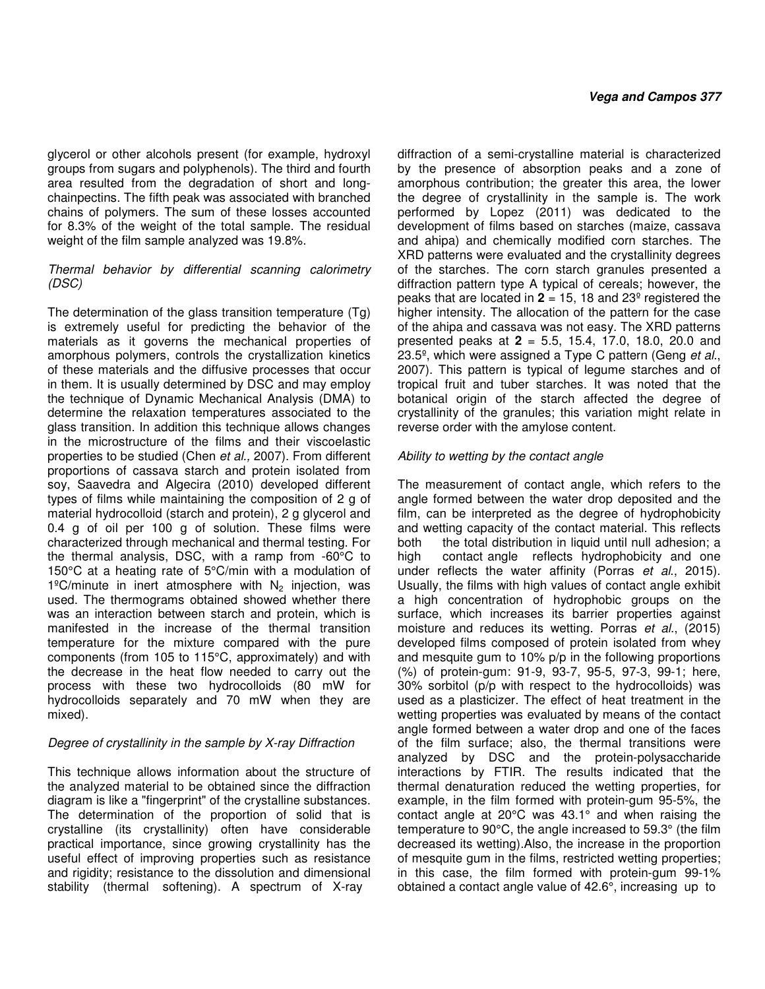glycerol or other alcohols present (for example, hydroxyl groups from sugars and polyphenols). The third and fourth area resulted from the degradation of short and longchainpectins. The fifth peak was associated with branched chains of polymers. The sum of these losses accounted for 8.3% of the weight of the total sample. The residual weight of the film sample analyzed was 19.8%.

## Thermal behavior by differential scanning calorimetry (DSC)

The determination of the glass transition temperature (Tg) is extremely useful for predicting the behavior of the materials as it governs the mechanical properties of amorphous polymers, controls the crystallization kinetics of these materials and the diffusive processes that occur in them. It is usually determined by DSC and may employ the technique of Dynamic Mechanical Analysis (DMA) to determine the relaxation temperatures associated to the glass transition. In addition this technique allows changes in the microstructure of the films and their viscoelastic properties to be studied (Chen et al., 2007). From different proportions of cassava starch and protein isolated from soy, Saavedra and Algecira (2010) developed different types of films while maintaining the composition of 2 g of material hydrocolloid (starch and protein), 2 g glycerol and 0.4 g of oil per 100 g of solution. These films were characterized through mechanical and thermal testing. For the thermal analysis, DSC, with a ramp from -60°C to 150°C at a heating rate of 5°C/min with a modulation of  $1^{\circ}$ C/minute in inert atmosphere with N<sub>2</sub> injection, was used. The thermograms obtained showed whether there was an interaction between starch and protein, which is manifested in the increase of the thermal transition temperature for the mixture compared with the pure components (from 105 to 115°C, approximately) and with the decrease in the heat flow needed to carry out the process with these two hydrocolloids (80 mW for hydrocolloids separately and 70 mW when they are mixed).

## Degree of crystallinity in the sample by X-ray Diffraction

This technique allows information about the structure of the analyzed material to be obtained since the diffraction diagram is like a "fingerprint" of the crystalline substances. The determination of the proportion of solid that is crystalline (its crystallinity) often have considerable practical importance, since growing crystallinity has the useful effect of improving properties such as resistance and rigidity; resistance to the dissolution and dimensional stability (thermal softening). A spectrum of X-ray

diffraction of a semi-crystalline material is characterized by the presence of absorption peaks and a zone of amorphous contribution; the greater this area, the lower the degree of crystallinity in the sample is. The work performed by Lopez (2011) was dedicated to the development of films based on starches (maize, cassava and ahipa) and chemically modified corn starches. The XRD patterns were evaluated and the crystallinity degrees of the starches. The corn starch granules presented a diffraction pattern type A typical of cereals; however, the peaks that are located in **2** = 15, 18 and 23º registered the higher intensity. The allocation of the pattern for the case of the ahipa and cassava was not easy. The XRD patterns presented peaks at **2** = 5.5, 15.4, 17.0, 18.0, 20.0 and 23.5<sup>o</sup>, which were assigned a Type C pattern (Geng et al., 2007). This pattern is typical of legume starches and of tropical fruit and tuber starches. It was noted that the botanical origin of the starch affected the degree of crystallinity of the granules; this variation might relate in reverse order with the amylose content.

# Ability to wetting by the contact angle

The measurement of contact angle, which refers to the angle formed between the water drop deposited and the film, can be interpreted as the degree of hydrophobicity and wetting capacity of the contact material. This reflects both the total distribution in liquid until null adhesion; a high contact angle reflects hydrophobicity and one under reflects the water affinity (Porras et al., 2015). Usually, the films with high values of contact angle exhibit a high concentration of hydrophobic groups on the surface, which increases its barrier properties against moisture and reduces its wetting. Porras et al., (2015) developed films composed of protein isolated from whey and mesquite gum to 10% p/p in the following proportions (%) of protein-gum: 91-9, 93-7, 95-5, 97-3, 99-1; here, 30% sorbitol (p/p with respect to the hydrocolloids) was used as a plasticizer. The effect of heat treatment in the wetting properties was evaluated by means of the contact angle formed between a water drop and one of the faces of the film surface; also, the thermal transitions were analyzed by DSC and the protein-polysaccharide interactions by FTIR. The results indicated that the thermal denaturation reduced the wetting properties, for example, in the film formed with protein-gum 95-5%, the contact angle at 20°C was 43.1° and when raising the temperature to 90°C, the angle increased to 59.3° (the film decreased its wetting).Also, the increase in the proportion of mesquite gum in the films, restricted wetting properties; in this case, the film formed with protein-gum 99-1% obtained a contact angle value of 42.6°, increasing up to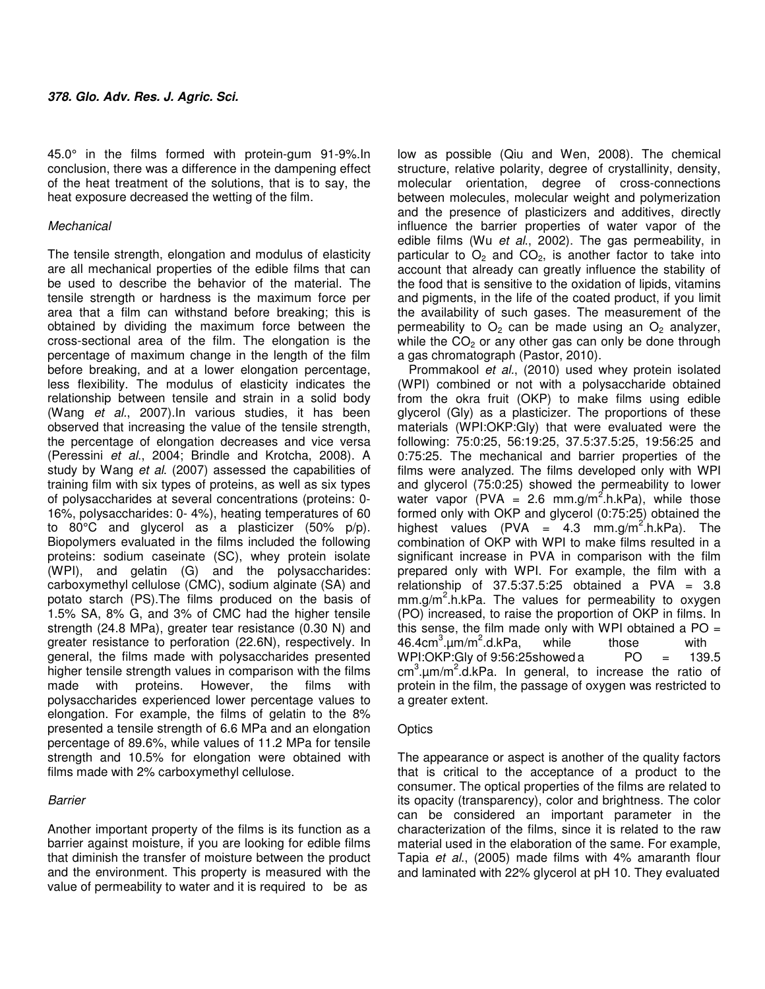45.0° in the films formed with protein-gum 91-9%.In conclusion, there was a difference in the dampening effect of the heat treatment of the solutions, that is to say, the heat exposure decreased the wetting of the film.

## **Mechanical**

The tensile strength, elongation and modulus of elasticity are all mechanical properties of the edible films that can be used to describe the behavior of the material. The tensile strength or hardness is the maximum force per area that a film can withstand before breaking; this is obtained by dividing the maximum force between the cross-sectional area of the film. The elongation is the percentage of maximum change in the length of the film before breaking, and at a lower elongation percentage, less flexibility. The modulus of elasticity indicates the relationship between tensile and strain in a solid body (Wang et al., 2007).In various studies, it has been observed that increasing the value of the tensile strength, the percentage of elongation decreases and vice versa (Peressini et al., 2004; Brindle and Krotcha, 2008). A study by Wang et al. (2007) assessed the capabilities of training film with six types of proteins, as well as six types of polysaccharides at several concentrations (proteins: 0- 16%, polysaccharides: 0- 4%), heating temperatures of 60 to 80°C and glycerol as a plasticizer (50% p/p). Biopolymers evaluated in the films included the following proteins: sodium caseinate (SC), whey protein isolate (WPI), and gelatin (G) and the polysaccharides: carboxymethyl cellulose (CMC), sodium alginate (SA) and potato starch (PS).The films produced on the basis of 1.5% SA, 8% G, and 3% of CMC had the higher tensile strength (24.8 MPa), greater tear resistance (0.30 N) and greater resistance to perforation (22.6N), respectively. In general, the films made with polysaccharides presented higher tensile strength values in comparison with the films made with proteins. However, the films with polysaccharides experienced lower percentage values to elongation. For example, the films of gelatin to the 8% presented a tensile strength of 6.6 MPa and an elongation percentage of 89.6%, while values of 11.2 MPa for tensile strength and 10.5% for elongation were obtained with films made with 2% carboxymethyl cellulose.

## Barrier

Another important property of the films is its function as a barrier against moisture, if you are looking for edible films that diminish the transfer of moisture between the product and the environment. This property is measured with the value of permeability to water and it is required to be as

low as possible (Qiu and Wen, 2008). The chemical structure, relative polarity, degree of crystallinity, density, molecular orientation, degree of cross-connections between molecules, molecular weight and polymerization and the presence of plasticizers and additives, directly influence the barrier properties of water vapor of the edible films (Wu et al., 2002). The gas permeability, in particular to  $O<sub>2</sub>$  and  $CO<sub>2</sub>$ , is another factor to take into account that already can greatly influence the stability of the food that is sensitive to the oxidation of lipids, vitamins and pigments, in the life of the coated product, if you limit the availability of such gases. The measurement of the permeability to  $O_2$  can be made using an  $O_2$  analyzer, while the  $CO<sub>2</sub>$  or any other gas can only be done through a gas chromatograph (Pastor, 2010).

Prommakool et al., (2010) used whey protein isolated (WPI) combined or not with a polysaccharide obtained from the okra fruit (OKP) to make films using edible glycerol (Gly) as a plasticizer. The proportions of these materials (WPI:OKP:Gly) that were evaluated were the following: 75:0:25, 56:19:25, 37.5:37.5:25, 19:56:25 and 0:75:25. The mechanical and barrier properties of the films were analyzed. The films developed only with WPI and glycerol (75:0:25) showed the permeability to lower water vapor (PVA = 2.6 mm.g/m<sup>2</sup>.h.kPa), while those formed only with OKP and glycerol (0:75:25) obtained the highest values (PVA = 4.3 mm.g/m<sup>2</sup>.h.kPa). The combination of OKP with WPI to make films resulted in a significant increase in PVA in comparison with the film prepared only with WPI. For example, the film with a relationship of  $37.5:37.5:25$  obtained a PVA =  $3.8$ mm.g/m<sup>2</sup>.h.kPa. The values for permeability to oxygen (PO) increased, to raise the proportion of OKP in films. In this sense, the film made only with WPI obtained a  $PO =$  $46.4 \text{cm}^3 \cdot \text{\mu m/m}^2$ .d.kPa, while those with WPI:OKP:Gly of 9:56:25 showed a  $PQ = 139.5$ cm<sup>3</sup>.µm/m<sup>2</sup>.d.kPa. In general, to increase the ratio of protein in the film, the passage of oxygen was restricted to a greater extent.

## **Optics**

The appearance or aspect is another of the quality factors that is critical to the acceptance of a product to the consumer. The optical properties of the films are related to its opacity (transparency), color and brightness. The color can be considered an important parameter in the characterization of the films, since it is related to the raw material used in the elaboration of the same. For example, Tapia et al., (2005) made films with 4% amaranth flour and laminated with 22% glycerol at pH 10. They evaluated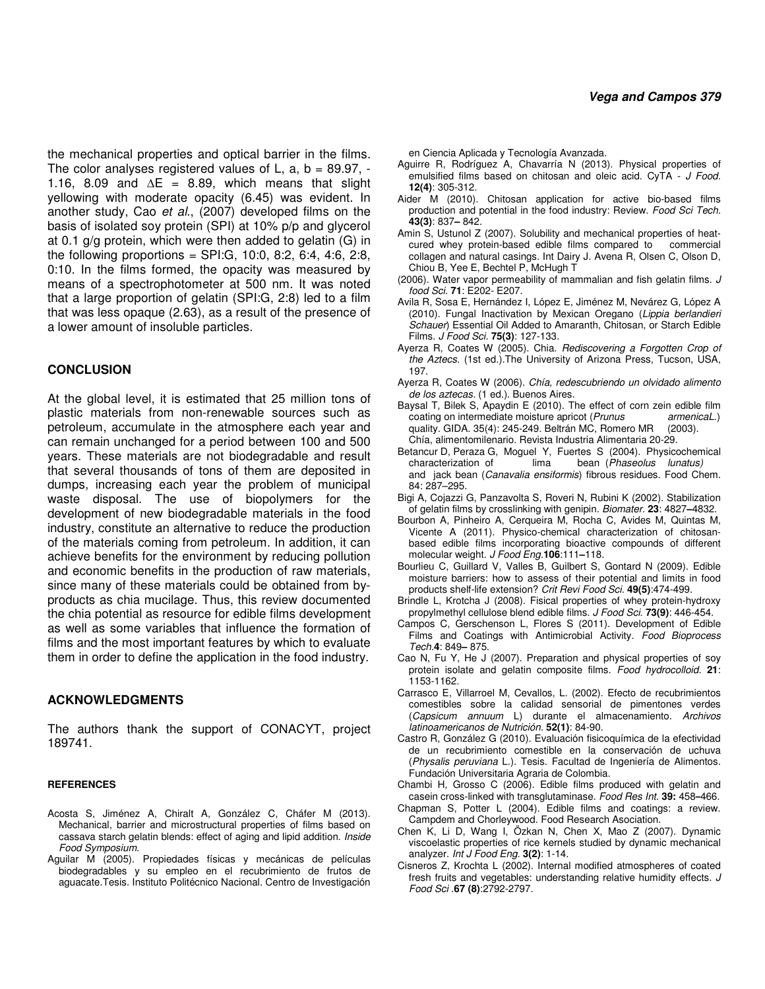the mechanical properties and optical barrier in the films. The color analyses registered values of L,  $a, b = 89.97, -1$ 1.16, 8.09 and **∆**E = 8.89, which means that slight yellowing with moderate opacity (6.45) was evident. In another study, Cao et al., (2007) developed films on the basis of isolated soy protein (SPI) at 10% p/p and glycerol at 0.1 g/g protein, which were then added to gelatin (G) in the following proportions =  $SPI:G$ , 10:0, 8:2, 6:4, 4:6, 2:8, 0:10. In the films formed, the opacity was measured by means of a spectrophotometer at 500 nm. It was noted that a large proportion of gelatin (SPI:G, 2:8) led to a film that was less opaque (2.63), as a result of the presence of a lower amount of insoluble particles.

## **CONCLUSION**

At the global level, it is estimated that 25 million tons of plastic materials from non-renewable sources such as petroleum, accumulate in the atmosphere each year and can remain unchanged for a period between 100 and 500 years. These materials are not biodegradable and result that several thousands of tons of them are deposited in dumps, increasing each year the problem of municipal waste disposal. The use of biopolymers for the development of new biodegradable materials in the food industry, constitute an alternative to reduce the production of the materials coming from petroleum. In addition, it can achieve benefits for the environment by reducing pollution and economic benefits in the production of raw materials, since many of these materials could be obtained from byproducts as chia mucilage. Thus, this review documented the chia potential as resource for edible films development as well as some variables that influence the formation of films and the most important features by which to evaluate them in order to define the application in the food industry.

## **ACKNOWLEDGMENTS**

The authors thank the support of CONACYT, project 189741.

#### **REFERENCES**

- Acosta S, Jiménez A, Chiralt A, González C, Cháfer M (2013). Mechanical, barrier and microstructural properties of films based on cassava starch gelatin blends: effect of aging and lipid addition. Inside Food Symposium.
- Aguilar M (2005). Propiedades físicas y mecánicas de películas biodegradables y su empleo en el recubrimiento de frutos de aguacate.Tesis. Instituto Politécnico Nacional. Centro de Investigación

en Ciencia Aplicada y Tecnología Avanzada.

- Aguirre R, Rodríguez A, Chavarría N (2013). Physical properties of emulsified films based on chitosan and oleic acid. CyTA - J Food. **12(4)**: 305-312.
- Aider M (2010). Chitosan application for active bio-based films production and potential in the food industry: Review. Food Sci Tech. **43(3)**: 837**–** 842.
- Amin S, Ustunol Z (2007). Solubility and mechanical properties of heat-<br>cured whey protein-based edible films compared to commercial cured whey protein-based edible films compared to collagen and natural casings. Int Dairy J. Avena R, Olsen C, Olson D, Chiou B, Yee E, Bechtel P, McHugh T
- (2006). Water vapor permeability of mammalian and fish gelatin films. J food Sci. **71**: E202- E207.
- Avila R, Sosa E, Hernández I, López E, Jiménez M, Nevárez G, López A (2010). Fungal Inactivation by Mexican Oregano (Lippia berlandieri Schauer) Essential Oil Added to Amaranth, Chitosan, or Starch Edible Films. J Food Sci. **75(3)**: 127-133.
- Ayerza R, Coates W (2005). Chia. Rediscovering a Forgotten Crop of the Aztecs. (1st ed.).The University of Arizona Press, Tucson, USA, 197.
- Ayerza R, Coates W (2006). Chía, redescubriendo un olvidado alimento de los aztecas. (1 ed.). Buenos Aires.
- Baysal T, Bilek S, Apaydin E (2010). The effect of corn zein edible film coating on intermediate moisture apricot (Prunus armenicaL.) quality. GIDA. 35(4): 245-249. Beltrán MC, Romero MR (2003). Chía, alimentomilenario. Revista Industria Alimentaria 20-29.
- Betancur D, Peraza G, Moguel Y, Fuertes S (2004). Physicochemical characterization of lima bean (Phaseolus lunatus) and jack bean (Canavalia ensiformis) fibrous residues. Food Chem. 84: 287–295.
- Bigi A, Cojazzi G, Panzavolta S, Roveri N, Rubini K (2002). Stabilization of gelatin films by crosslinking with genipin. Biomater. **23**: 4827**–**4832.
- Bourbon A, Pinheiro A, Cerqueira M, Rocha C, Avides M, Quintas M, Vicente A (2011). Physico-chemical characterization of chitosanbased edible films incorporating bioactive compounds of different molecular weight. J Food Eng.**106**:111**–**118.
- Bourlieu C, Guillard V, Valles B, Guilbert S, Gontard N (2009). Edible moisture barriers: how to assess of their potential and limits in food products shelf-life extension? Crit Revi Food Sci. **49(5)**:474-499.
- Brindle L, Krotcha J (2008). Fisical properties of whey protein-hydroxy propylmethyl cellulose blend edible films. J Food Sci. **73(9)**: 446-454.
- Campos C, Gerschenson L, Flores S (2011). Development of Edible Films and Coatings with Antimicrobial Activity. Food Bioprocess Tech.**4**: 849**–** 875.
- Cao N, Fu Y, He J (2007). Preparation and physical properties of soy protein isolate and gelatin composite films. Food hydrocolloid. **21**: 1153-1162.
- Carrasco E, Villarroel M, Cevallos, L. (2002). Efecto de recubrimientos comestibles sobre la calidad sensorial de pimentones verdes (Capsicum annuum L) durante el almacenamiento. Archivos latinoamericanos de Nutrición. **52(1)**: 84-90.
- Castro R, González G (2010). Evaluación fisicoquímica de la efectividad de un recubrimiento comestible en la conservación de uchuva (Physalis peruviana L.). Tesis. Facultad de Ingeniería de Alimentos. Fundación Universitaria Agraria de Colombia.
- Chambi H, Grosso C (2006). Edible films produced with gelatin and casein cross-linked with transglutaminase. Food Res Int. **39:** 458**–**466.
- Chapman S, Potter L (2004). Edible films and coatings: a review. Campdem and Chorleywood. Food Research Asociation.
- Chen K, Li D, Wang I, Özkan N, Chen X, Mao Z (2007). Dynamic viscoelastic properties of rice kernels studied by dynamic mechanical analyzer. Int J Food Eng. **3(2)**: 1-14.
- Cisneros Z, Krochta L (2002). Internal modified atmospheres of coated fresh fruits and vegetables: understanding relative humidity effects. J Food Sci .**67 (8)**:2792-2797.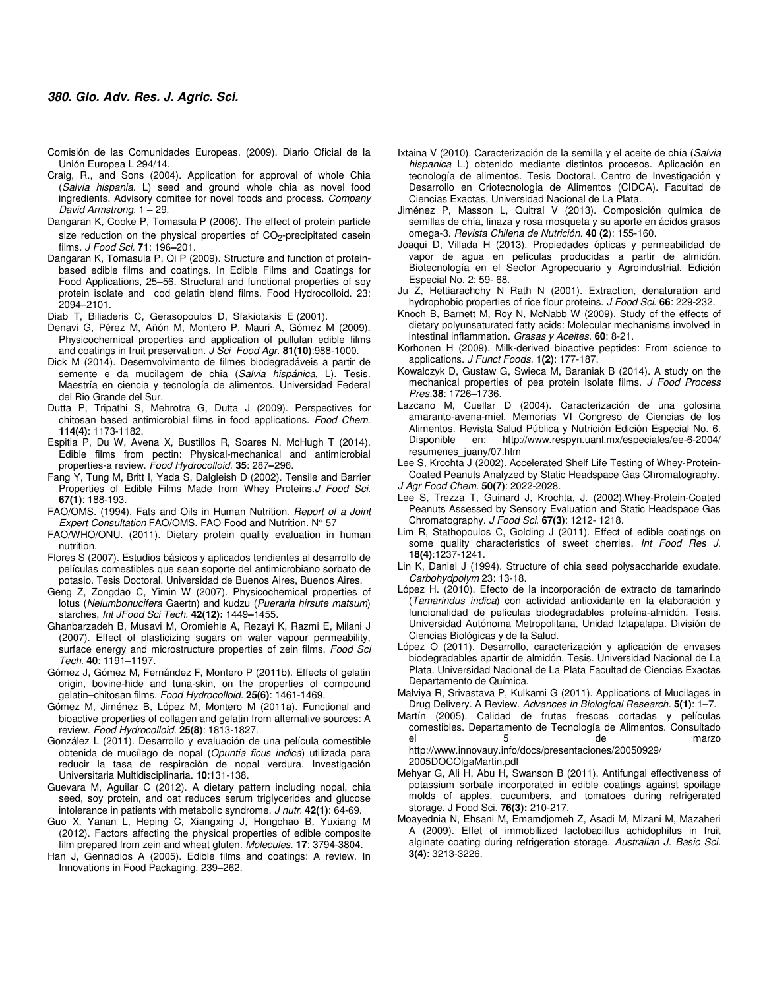- Comisión de las Comunidades Europeas. (2009). Diario Oficial de la Unión Europea L 294/14.
- Craig, R., and Sons (2004). Application for approval of whole Chia (Salvia hispania. L) seed and ground whole chia as novel food ingredients. Advisory comitee for novel foods and process. Company David Armstrong, 1 **–** 29.
- Dangaran K, Cooke P, Tomasula P (2006). The effect of protein particle size reduction on the physical properties of  $CO<sub>2</sub>$ -precipitated casein films. J Food Sci. **71**: 196**–**201.
- Dangaran K, Tomasula P, Qi P (2009). Structure and function of proteinbased edible films and coatings. In Edible Films and Coatings for Food Applications, 25**–**56. Structural and functional properties of soy protein isolate and cod gelatin blend films. Food Hydrocolloid. 23: 2094–2101.
- Diab T, Biliaderis C, Gerasopoulos D, Sfakiotakis E (2001).
- Denavi G, Pérez M, Añón M, Montero P, Mauri A, Gómez M (2009). Physicochemical properties and application of pullulan edible films and coatings in fruit preservation. J Sci Food Agr. **81(10)**:988-1000.
- Dick M (2014). Desemvolvimento de filmes biodegradáveis a partir de semente e da mucilagem de chia (Salvia hispánica, L). Tesis. Maestría en ciencia y tecnología de alimentos. Universidad Federal del Rio Grande del Sur.
- Dutta P, Tripathi S, Mehrotra G, Dutta J (2009). Perspectives for chitosan based antimicrobial films in food applications. Food Chem. **114(4)**: 1173-1182.
- Espitia P, Du W, Avena X, Bustillos R, Soares N, McHugh T (2014). Edible films from pectin: Physical-mechanical and antimicrobial properties-a review. Food Hydrocolloid. **35**: 287**–**296.
- Fang Y, Tung M, Britt I, Yada S, Dalgleish D (2002). Tensile and Barrier Properties of Edible Films Made from Whey Proteins.J Food Sci. **67(1)**: 188-193.
- FAO/OMS. (1994). Fats and Oils in Human Nutrition. Report of a Joint Expert Consultation FAO/OMS. FAO Food and Nutrition. N° 57
- FAO/WHO/ONU. (2011). Dietary protein quality evaluation in human nutrition.
- Flores S (2007). Estudios básicos y aplicados tendientes al desarrollo de películas comestibles que sean soporte del antimicrobiano sorbato de potasio. Tesis Doctoral. Universidad de Buenos Aires, Buenos Aires.
- Geng Z, Zongdao C, Yimin W (2007). Physicochemical properties of lotus (Nelumbonucifera Gaertn) and kudzu (Pueraria hirsute matsum) starches, Int JFood Sci Tech. **42(12):** 1449**–**1455.
- Ghanbarzadeh B, Musavi M, Oromiehie A, Rezayi K, Razmi E, Milani J (2007). Effect of plasticizing sugars on water vapour permeability, surface energy and microstructure properties of zein films. Food Sci Tech. **40**: 1191**–**1197.
- Gómez J, Gómez M, Fernández F, Montero P (2011b). Effects of gelatin origin, bovine-hide and tuna-skin, on the properties of compound gelatin**–**chitosan films. Food Hydrocolloid. **25(6)**: 1461-1469.
- Gómez M, Jiménez B, López M, Montero M (2011a). Functional and bioactive properties of collagen and gelatin from alternative sources: A review. Food Hydrocolloid. **25(8)**: 1813-1827.
- González L (2011). Desarrollo y evaluación de una película comestible obtenida de mucílago de nopal (Opuntia ficus indica) utilizada para reducir la tasa de respiración de nopal verdura. Investigación Universitaria Multidisciplinaria. **10**:131-138.
- Guevara M, Aguilar C (2012). A dietary pattern including nopal, chia seed, soy protein, and oat reduces serum triglycerides and glucose intolerance in patients with metabolic syndrome. J nutr. **42(1)**: 64-69.
- Guo X, Yanan L, Heping C, Xiangxing J, Hongchao B, Yuxiang M (2012). Factors affecting the physical properties of edible composite film prepared from zein and wheat gluten. Molecules. **17**: 3794-3804.
- Han J, Gennadios A (2005). Edible films and coatings: A review. In Innovations in Food Packaging. 239**–**262.
- Ixtaina V (2010). Caracterización de la semilla y el aceite de chía (Salvia hispanica L.) obtenido mediante distintos procesos. Aplicación en tecnología de alimentos. Tesis Doctoral. Centro de Investigación y Desarrollo en Criotecnología de Alimentos (CIDCA). Facultad de Ciencias Exactas, Universidad Nacional de La Plata.
- Jiménez P, Masson L, Quitral V (2013). Composición química de semillas de chía, linaza y rosa mosqueta y su aporte en ácidos grasos omega-3. Revista Chilena de Nutrición. **40 (2**): 155-160.
- Joaqui D, Villada H (2013). Propiedades ópticas y permeabilidad de vapor de agua en películas producidas a partir de almidón. Biotecnología en el Sector Agropecuario y Agroindustrial. Edición Especial No. 2: 59- 68.
- Ju Z, Hettiarachchy N Rath N (2001). Extraction, denaturation and hydrophobic properties of rice flour proteins. J Food Sci. **66**: 229-232.
- Knoch B, Barnett M, Roy N, McNabb W (2009). Study of the effects of dietary polyunsaturated fatty acids: Molecular mechanisms involved in intestinal inflammation. Grasas y Aceites. **60**: 8-21.
- Korhonen H (2009). Milk-derived bioactive peptides: From science to applications. J Funct Foods. **1(2)**: 177-187.
- Kowalczyk D, Gustaw G, Swieca M, Baraniak B (2014). A study on the mechanical properties of pea protein isolate films. J Food Process Pres.**38**: 1726**–**1736.
- Lazcano M, Cuellar D (2004). Caracterización de una golosina amaranto-avena-miel. Memorias VI Congreso de Ciencias de los Alimentos. Revista Salud Pública y Nutrición Edición Especial No. 6. Disponible en: http://www.respyn.uanl.mx/especiales/ee-6-2004/ resumenes\_juany/07.htm
- Lee S, Krochta J (2002). Accelerated Shelf Life Testing of Whey-Protein-Coated Peanuts Analyzed by Static Headspace Gas Chromatography. J Agr Food Chem. **50(7)**: 2022-2028.
- Lee S, Trezza T, Guinard J, Krochta, J. (2002).Whey-Protein-Coated Peanuts Assessed by Sensory Evaluation and Static Headspace Gas Chromatography. J Food Sci. **67(3)**: 1212- 1218.
- Lim R, Stathopoulos C, Golding J (2011). Effect of edible coatings on some quality characteristics of sweet cherries. Int Food Res J. **18(4)**:1237-1241.
- Lin K, Daniel J (1994). Structure of chia seed polysaccharide exudate. Carbohydpolym 23: 13-18.
- López H. (2010). Efecto de la incorporación de extracto de tamarindo (Tamarindus indica) con actividad antioxidante en la elaboración y funcionalidad de películas biodegradables proteína-almidón. Tesis. Universidad Autónoma Metropolitana, Unidad Iztapalapa. División de Ciencias Biológicas y de la Salud.
- López O (2011). Desarrollo, caracterización y aplicación de envases biodegradables apartir de almidón. Tesis. Universidad Nacional de La Plata. Universidad Nacional de La Plata Facultad de Ciencias Exactas Departamento de Química.
- Malviya R, Srivastava P, Kulkarni G (2011). Applications of Mucilages in Drug Delivery. A Review. Advances in Biological Research. **5(1)**: 1**–**7.
- Martín (2005). Calidad de frutas frescas cortadas y películas comestibles. Departamento de Tecnología de Alimentos. Consultado el 5 de marzo
- http://www.innovauy.info/docs/presentaciones/20050929/ 2005DOCOlgaMartin.pdf
- Mehyar G, Ali H, Abu H, Swanson B (2011). Antifungal effectiveness of potassium sorbate incorporated in edible coatings against spoilage molds of apples, cucumbers, and tomatoes during refrigerated storage. J Food Sci. **76(3):** 210-217.
- Moayednia N, Ehsani M, Emamdjomeh Z, Asadi M, Mizani M, Mazaheri A (2009). Effet of immobilized lactobacillus achidophilus in fruit alginate coating during refrigeration storage. Australian J. Basic Sci. **3(4)**: 3213-3226.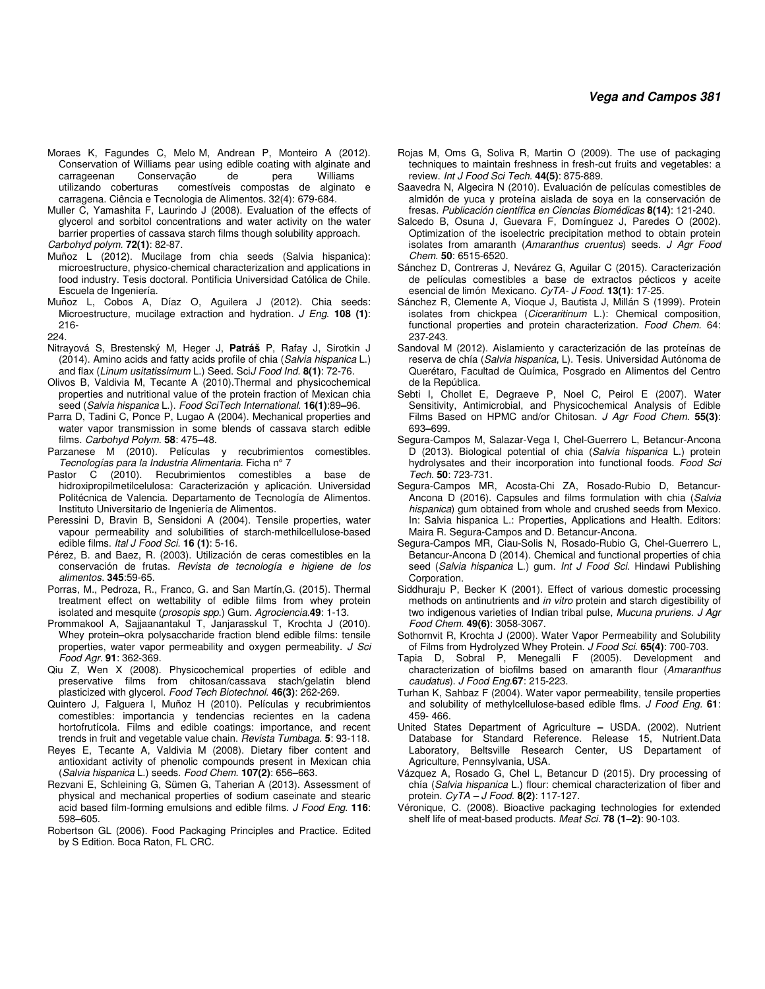## **Vega and Campos 381**

- Moraes K, Fagundes C, Melo M, Andrean P, Monteiro A (2012). Conservation of Williams pear using edible coating with alginate and carrageenan Conservação de pera Williams comestíveis compostas de alginato e carragena. Ciência e Tecnologia de Alimentos. 32(4): 679-684.
- Muller C, Yamashita F, Laurindo J (2008). Evaluation of the effects of glycerol and sorbitol concentrations and water activity on the water barrier properties of cassava starch films though solubility approach. Carbohyd polym. **72(1)**: 82-87.
- Muñoz L (2012). Mucilage from chia seeds (Salvia hispanica): microestructure, physico-chemical characterization and applications in food industry. Tesis doctoral. Pontificia Universidad Católica de Chile. Escuela de Ingeniería.
- Muñoz L, Cobos A, Díaz O, Aguilera J (2012). Chia seeds: Microestructure, mucilage extraction and hydration. J Eng. **108 (1)**: 216-
- 224.
- Nitrayová S, Brestenský M, Heger J, **Patráš** P, Rafay J, Sirotkin J (2014). Amino acids and fatty acids profile of chia (Salvia hispanica L.) and flax (Linum usitatissimum L.) Seed. SciJ Food Ind. **8(1)**: 72-76.
- Olivos B, Valdivia M, Tecante A (2010).Thermal and physicochemical properties and nutritional value of the protein fraction of Mexican chia seed (Salvia hispanica L.). Food SciTech International. **16(1)**:89**–**96.
- Parra D, Tadini C, Ponce P, Lugao A (2004). Mechanical properties and water vapor transmission in some blends of cassava starch edible films. Carbohyd Polym. **58**: 475**–**48.
- Parzanese M (2010). Películas y recubrimientos comestibles. Tecnologías para la Industria Alimentaria. Ficha n° 7
- (2010). Recubrimientos comestibles a base de hidroxipropilmetilcelulosa: Caracterización y aplicación. Universidad Politécnica de Valencia. Departamento de Tecnología de Alimentos. Instituto Universitario de Ingeniería de Alimentos.
- Peressini D, Bravin B, Sensidoni A (2004). Tensile properties, water vapour permeability and solubilities of starch-methilcellulose-based edible films. Ital J Food Sci. **16 (1)**: 5-16.
- Pérez, B. and Baez, R. (2003). Utilización de ceras comestibles en la conservación de frutas. Revista de tecnología e higiene de los alimentos. **345**:59-65.
- Porras, M., Pedroza, R., Franco, G. and San Martín,G. (2015). Thermal treatment effect on wettability of edible films from whey protein isolated and mesquite (prosopis spp.) Gum. Agrociencia.**49**: 1-13.
- Prommakool A, Sajjaanantakul T, Janjarasskul T, Krochta J (2010). Whey protein**–**okra polysaccharide fraction blend edible films: tensile properties, water vapor permeability and oxygen permeability. J Sci Food Agr. **91**: 362-369.
- Qiu Z, Wen X (2008). Physicochemical properties of edible and preservative films from chitosan/cassava stach/gelatin blend plasticized with glycerol. Food Tech Biotechnol. **46(3)**: 262-269.
- Quintero J, Falguera I, Muñoz H (2010). Películas y recubrimientos comestibles: importancia y tendencias recientes en la cadena hortofrutícola. Films and edible coatings: importance, and recent trends in fruit and vegetable value chain. Revista Tumbaga. **5**: 93-118.
- Reyes E, Tecante A, Valdivia M (2008). Dietary fiber content and antioxidant activity of phenolic compounds present in Mexican chia (Salvia hispanica L.) seeds. Food Chem. **107(2)**: 656**–**663.
- Rezvani E, Schleining G, Sümen G, Taherian A (2013). Assessment of physical and mechanical properties of sodium caseinate and stearic acid based film-forming emulsions and edible films. J Food Eng. **116**: 598**–**605.
- Robertson GL (2006). Food Packaging Principles and Practice. Edited by S Edition. Boca Raton, FL CRC.
- Rojas M, Oms G, Soliva R, Martin O (2009). The use of packaging techniques to maintain freshness in fresh-cut fruits and vegetables: a review. Int J Food Sci Tech. **44(5)**: 875-889.
- Saavedra N, Algecira N (2010). Evaluación de películas comestibles de almidón de yuca y proteína aislada de soya en la conservación de fresas. Publicación científica en Ciencias Biomédicas **8(14)**: 121-240.
- Salcedo B, Osuna J, Guevara F, Domínguez J, Paredes O (2002). Optimization of the isoelectric precipitation method to obtain protein isolates from amaranth (Amaranthus cruentus) seeds. J Agr Food Chem. **50**: 6515-6520.
- Sánchez D, Contreras J, Nevárez G, Aguilar C (2015). Caracterización de películas comestibles a base de extractos pécticos y aceite esencial de limón Mexicano. CyTA- J Food. **13(1)**: 17-25.
- Sánchez R, Clemente A, Vioque J, Bautista J, Millán S (1999). Protein isolates from chickpea (Ciceraritinum L.): Chemical composition, functional properties and protein characterization. Food Chem. 64: 237-243.
- Sandoval M (2012). Aislamiento y caracterización de las proteínas de reserva de chía (Salvia hispanica, L). Tesis. Universidad Autónoma de Querétaro, Facultad de Química, Posgrado en Alimentos del Centro de la República.
- Sebti I, Chollet E, Degraeve P, Noel C, Peirol E (2007). Water Sensitivity, Antimicrobial, and Physicochemical Analysis of Edible Films Based on HPMC and/or Chitosan. J Agr Food Chem. **55(3)**: 693**–**699.
- Segura-Campos M, Salazar-Vega I, Chel-Guerrero L, Betancur-Ancona D (2013). Biological potential of chia (Salvia hispanica L.) protein hydrolysates and their incorporation into functional foods. Food Sci Tech. **50**: 723-731.
- Segura-Campos MR, Acosta-Chi ZA, Rosado-Rubio D, Betancur-Ancona D (2016). Capsules and films formulation with chia (Salvia hispanica) gum obtained from whole and crushed seeds from Mexico. In: Salvia hispanica L.: Properties, Applications and Health. Editors: Maira R. Segura-Campos and D. Betancur-Ancona.
- Segura-Campos MR, Ciau-Solis N, Rosado-Rubio G, Chel-Guerrero L, Betancur-Ancona D (2014). Chemical and functional properties of chia seed (Salvia hispanica L.) gum. Int J Food Sci. Hindawi Publishing Corporation.
- Siddhuraju P, Becker K (2001). Effect of various domestic processing methods on antinutrients and in vitro protein and starch digestibility of two indigenous varieties of Indian tribal pulse, Mucuna pruriens. J Agr Food Chem. **49(6)**: 3058-3067.
- Sothornvit R, Krochta J (2000). Water Vapor Permeability and Solubility of Films from Hydrolyzed Whey Protein. J Food Sci. **65(4)**: 700-703.
- Tapia D, Sobral P, Menegalli F (2005). Development and characterization of biofilms based on amaranth flour (Amaranthus caudatus). J Food Eng.**67**: 215-223.
- Turhan K, Sahbaz F (2004). Water vapor permeability, tensile properties and solubility of methylcellulose-based edible flms. J Food Eng. **61**: 459- 466.
- United States Department of Agriculture **–** USDA. (2002). Nutrient Database for Standard Reference. Release 15, Nutrient.Data Laboratory, Beltsville Research Center, US Departament of Agriculture, Pennsylvania, USA.
- Vázquez A, Rosado G, Chel L, Betancur D (2015). Dry processing of chía (Salvia hispanica L.) flour: chemical characterization of fiber and protein. CyTA **–** J Food. **8(2)**: 117-127.
- Véronique, C. (2008). Bioactive packaging technologies for extended shelf life of meat-based products. Meat Sci. **78 (1–2)**: 90-103.